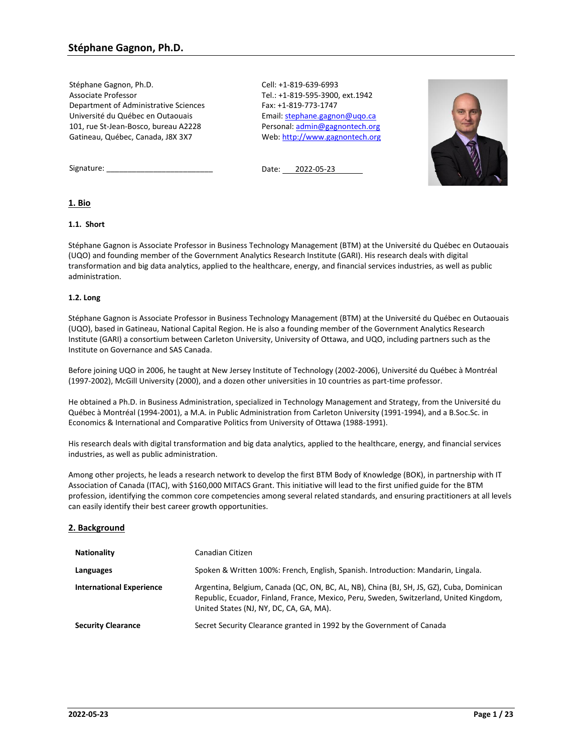Stéphane Gagnon, Ph.D. Associate Professor Department of Administrative Sciences Université du Québec en Outaouais 101, rue St-Jean-Bosco, bureau A2228 Gatineau, Québec, Canada, J8X 3X7

Cell: +1-819-639-6993 Tel.: +1-819-595-3900, ext.1942 Fax: +1-819-773-1747 Email: [stephane.gagnon@uqo.ca](mailto:stephane.gagnon@uqo.ca) Personal[: admin@gagnontech.org](mailto:admin@gagnontech.org) Web[: http://www.gagnontech.org](http://www.gagnontech.org/)



Signature:

Date: 2022-05-23

## **1. Bio**

## **1.1. Short**

Stéphane Gagnon is Associate Professor in Business Technology Management (BTM) at the Université du Québec en Outaouais (UQO) and founding member of the Government Analytics Research Institute (GARI). His research deals with digital transformation and big data analytics, applied to the healthcare, energy, and financial services industries, as well as public administration.

### **1.2. Long**

Stéphane Gagnon is Associate Professor in Business Technology Management (BTM) at the Université du Québec en Outaouais (UQO), based in Gatineau, National Capital Region. He is also a founding member of the Government Analytics Research Institute (GARI) a consortium between Carleton University, University of Ottawa, and UQO, including partners such as the Institute on Governance and SAS Canada.

Before joining UQO in 2006, he taught at New Jersey Institute of Technology (2002-2006), Université du Québec à Montréal (1997-2002), McGill University (2000), and a dozen other universities in 10 countries as part-time professor.

He obtained a Ph.D. in Business Administration, specialized in Technology Management and Strategy, from the Université du Québec à Montréal (1994-2001), a M.A. in Public Administration from Carleton University (1991-1994), and a B.Soc.Sc. in Economics & International and Comparative Politics from University of Ottawa (1988-1991).

His research deals with digital transformation and big data analytics, applied to the healthcare, energy, and financial services industries, as well as public administration.

Among other projects, he leads a research network to develop the first BTM Body of Knowledge (BOK), in partnership with IT Association of Canada (ITAC), with \$160,000 MITACS Grant. This initiative will lead to the first unified guide for the BTM profession, identifying the common core competencies among several related standards, and ensuring practitioners at all levels can easily identify their best career growth opportunities.

## **2. Background**

| <b>Nationality</b>              | Canadian Citizen                                                                                                                                                                                                              |
|---------------------------------|-------------------------------------------------------------------------------------------------------------------------------------------------------------------------------------------------------------------------------|
| Languages                       | Spoken & Written 100%: French, English, Spanish. Introduction: Mandarin, Lingala.                                                                                                                                             |
| <b>International Experience</b> | Argentina, Belgium, Canada (QC, ON, BC, AL, NB), China (BJ, SH, JS, GZ), Cuba, Dominican<br>Republic, Ecuador, Finland, France, Mexico, Peru, Sweden, Switzerland, United Kingdom,<br>United States (NJ, NY, DC, CA, GA, MA). |
| <b>Security Clearance</b>       | Secret Security Clearance granted in 1992 by the Government of Canada                                                                                                                                                         |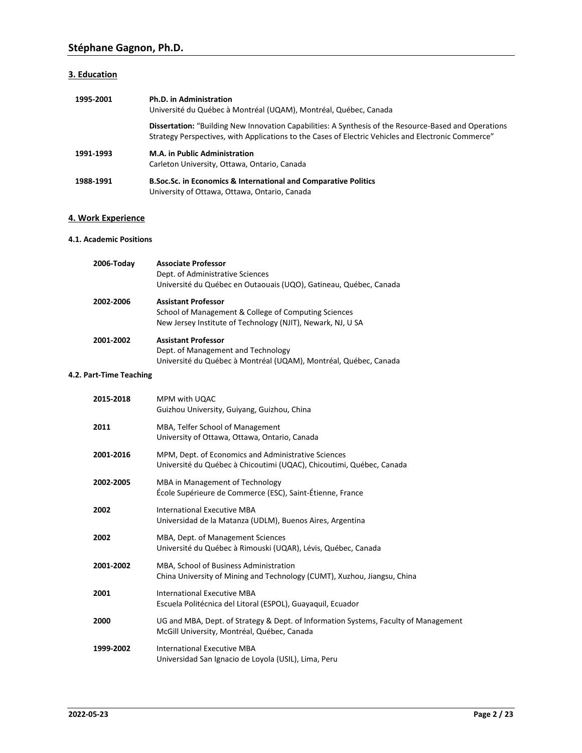## **3. Education**

| 1995-2001 | Ph.D. in Administration<br>Université du Québec à Montréal (UQAM), Montréal, Québec, Canada                                                                                                                         |
|-----------|---------------------------------------------------------------------------------------------------------------------------------------------------------------------------------------------------------------------|
|           | <b>Dissertation:</b> "Building New Innovation Capabilities: A Synthesis of the Resource-Based and Operations<br>Strategy Perspectives, with Applications to the Cases of Electric Vehicles and Electronic Commerce" |
| 1991-1993 | <b>M.A. in Public Administration</b><br>Carleton University, Ottawa, Ontario, Canada                                                                                                                                |
| 1988-1991 | <b>B.Soc.Sc. in Economics &amp; International and Comparative Politics</b><br>University of Ottawa, Ottawa, Ontario, Canada                                                                                         |

## **4. Work Experience**

### **4.1. Academic Positions**

| 2006-Today | <b>Associate Professor</b><br>Dept. of Administrative Sciences<br>Université du Québec en Outaouais (UQO), Gatineau, Québec, Canada               |
|------------|---------------------------------------------------------------------------------------------------------------------------------------------------|
| 2002-2006  | <b>Assistant Professor</b><br>School of Management & College of Computing Sciences<br>New Jersey Institute of Technology (NJIT), Newark, NJ, U SA |
| 2001-2002  | <b>Assistant Professor</b><br>Dept. of Management and Technology<br>Université du Québec à Montréal (UQAM), Montréal, Québec, Canada              |

## **4.2. Part-Time Teaching**

| 2015-2018 | MPM with UQAC<br>Guizhou University, Guiyang, Guizhou, China                                                                       |
|-----------|------------------------------------------------------------------------------------------------------------------------------------|
| 2011      | MBA, Telfer School of Management<br>University of Ottawa, Ottawa, Ontario, Canada                                                  |
| 2001-2016 | MPM, Dept. of Economics and Administrative Sciences<br>Université du Québec à Chicoutimi (UQAC), Chicoutimi, Québec, Canada        |
| 2002-2005 | MBA in Management of Technology<br>École Supérieure de Commerce (ESC), Saint-Étienne, France                                       |
| 2002      | International Executive MBA<br>Universidad de la Matanza (UDLM), Buenos Aires, Argentina                                           |
| 2002      | MBA, Dept. of Management Sciences<br>Université du Québec à Rimouski (UQAR), Lévis, Québec, Canada                                 |
| 2001-2002 | MBA, School of Business Administration<br>China University of Mining and Technology (CUMT), Xuzhou, Jiangsu, China                 |
| 2001      | International Executive MBA<br>Escuela Politécnica del Litoral (ESPOL), Guayaquil, Ecuador                                         |
| 2000      | UG and MBA, Dept. of Strategy & Dept. of Information Systems, Faculty of Management<br>McGill University, Montréal, Québec, Canada |
| 1999-2002 | International Executive MBA<br>Universidad San Ignacio de Loyola (USIL), Lima, Peru                                                |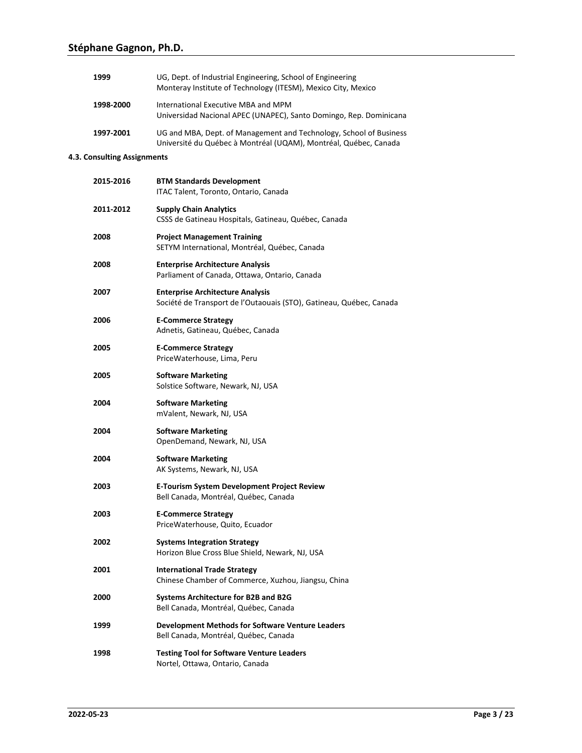| 1999                        | UG, Dept. of Industrial Engineering, School of Engineering<br>Monteray Institute of Technology (ITESM), Mexico City, Mexico            |  |  |  |  |  |  |  |
|-----------------------------|----------------------------------------------------------------------------------------------------------------------------------------|--|--|--|--|--|--|--|
| 1998-2000                   | International Executive MBA and MPM<br>Universidad Nacional APEC (UNAPEC), Santo Domingo, Rep. Dominicana                              |  |  |  |  |  |  |  |
| 1997-2001                   | UG and MBA, Dept. of Management and Technology, School of Business<br>Université du Québec à Montréal (UQAM), Montréal, Québec, Canada |  |  |  |  |  |  |  |
| 4.3. Consulting Assignments |                                                                                                                                        |  |  |  |  |  |  |  |
| 2015-2016                   | <b>BTM Standards Development</b><br>ITAC Talent, Toronto, Ontario, Canada                                                              |  |  |  |  |  |  |  |
| 2011-2012                   | <b>Supply Chain Analytics</b><br>CSSS de Gatineau Hospitals, Gatineau, Québec, Canada                                                  |  |  |  |  |  |  |  |
| 2008                        | <b>Project Management Training</b><br>SETYM International, Montréal, Québec, Canada                                                    |  |  |  |  |  |  |  |
| 2008                        | <b>Enterprise Architecture Analysis</b><br>Parliament of Canada, Ottawa, Ontario, Canada                                               |  |  |  |  |  |  |  |
| 2007                        | <b>Enterprise Architecture Analysis</b><br>Société de Transport de l'Outaouais (STO), Gatineau, Québec, Canada                         |  |  |  |  |  |  |  |
| 2006                        | <b>E-Commerce Strategy</b><br>Adnetis, Gatineau, Québec, Canada                                                                        |  |  |  |  |  |  |  |
| 2005                        | <b>E-Commerce Strategy</b><br>PriceWaterhouse, Lima, Peru                                                                              |  |  |  |  |  |  |  |
| 2005                        | <b>Software Marketing</b><br>Solstice Software, Newark, NJ, USA                                                                        |  |  |  |  |  |  |  |
| 2004                        | <b>Software Marketing</b><br>mValent, Newark, NJ, USA                                                                                  |  |  |  |  |  |  |  |
| 2004                        | <b>Software Marketing</b><br>OpenDemand, Newark, NJ, USA                                                                               |  |  |  |  |  |  |  |
| 2004                        | <b>Software Marketing</b><br>AK Systems, Newark, NJ, USA                                                                               |  |  |  |  |  |  |  |
| 2003                        | <b>E-Tourism System Development Project Review</b><br>Bell Canada, Montréal, Québec, Canada                                            |  |  |  |  |  |  |  |
| 2003                        | <b>E-Commerce Strategy</b><br>PriceWaterhouse, Quito, Ecuador                                                                          |  |  |  |  |  |  |  |
| 2002                        | <b>Systems Integration Strategy</b><br>Horizon Blue Cross Blue Shield, Newark, NJ, USA                                                 |  |  |  |  |  |  |  |
| 2001                        | <b>International Trade Strategy</b><br>Chinese Chamber of Commerce, Xuzhou, Jiangsu, China                                             |  |  |  |  |  |  |  |
| 2000                        | Systems Architecture for B2B and B2G<br>Bell Canada, Montréal, Québec, Canada                                                          |  |  |  |  |  |  |  |
| 1999                        | Development Methods for Software Venture Leaders<br>Bell Canada, Montréal, Québec, Canada                                              |  |  |  |  |  |  |  |
| 1998                        | <b>Testing Tool for Software Venture Leaders</b><br>Nortel, Ottawa, Ontario, Canada                                                    |  |  |  |  |  |  |  |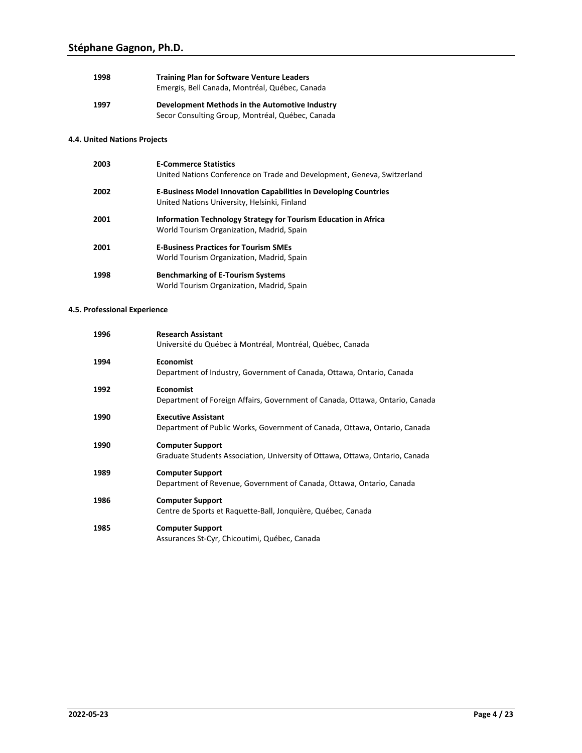| 1998 | <b>Training Plan for Software Venture Leaders</b><br>Emergis, Bell Canada, Montréal, Québec, Canada |
|------|-----------------------------------------------------------------------------------------------------|
| 1997 | Development Methods in the Automotive Industry<br>Secor Consulting Group, Montréal, Québec, Canada  |

## **4.4. United Nations Projects**

| 2003 | <b>E-Commerce Statistics</b><br>United Nations Conference on Trade and Development, Geneva, Switzerland                 |
|------|-------------------------------------------------------------------------------------------------------------------------|
| 2002 | <b>E-Business Model Innovation Capabilities in Developing Countries</b><br>United Nations University, Helsinki, Finland |
| 2001 | Information Technology Strategy for Tourism Education in Africa<br>World Tourism Organization, Madrid, Spain            |
| 2001 | <b>E-Business Practices for Tourism SMEs</b><br>World Tourism Organization, Madrid, Spain                               |
| 1998 | <b>Benchmarking of E-Tourism Systems</b><br>World Tourism Organization, Madrid, Spain                                   |

## **4.5. Professional Experience**

| 1996 | <b>Research Assistant</b><br>Université du Québec à Montréal, Montréal, Québec, Canada                  |
|------|---------------------------------------------------------------------------------------------------------|
| 1994 | <b>Economist</b><br>Department of Industry, Government of Canada, Ottawa, Ontario, Canada               |
| 1992 | <b>Economist</b><br>Department of Foreign Affairs, Government of Canada, Ottawa, Ontario, Canada        |
| 1990 | <b>Executive Assistant</b><br>Department of Public Works, Government of Canada, Ottawa, Ontario, Canada |
| 1990 | <b>Computer Support</b><br>Graduate Students Association, University of Ottawa, Ottawa, Ontario, Canada |
| 1989 | <b>Computer Support</b><br>Department of Revenue, Government of Canada, Ottawa, Ontario, Canada         |
| 1986 | <b>Computer Support</b><br>Centre de Sports et Raquette-Ball, Jonquière, Québec, Canada                 |
| 1985 | <b>Computer Support</b><br>Assurances St-Cyr, Chicoutimi, Québec, Canada                                |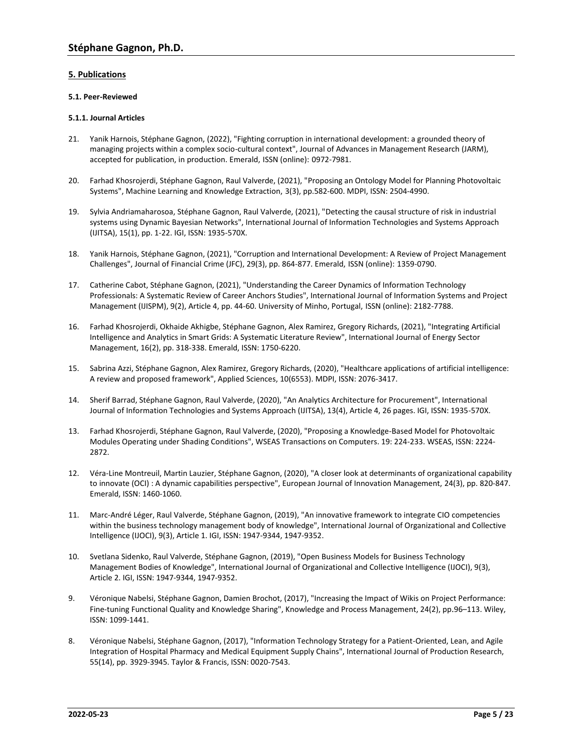## **5. Publications**

### **5.1. Peer-Reviewed**

### **5.1.1. Journal Articles**

- 21. Yanik Harnois, Stéphane Gagnon, (2022), "Fighting corruption in international development: a grounded theory of managing projects within a complex socio-cultural context", Journal of Advances in Management Research (JARM), accepted for publication, in production. Emerald, ISSN (online): 0972-7981.
- 20. Farhad Khosrojerdi, Stéphane Gagnon, Raul Valverde, (2021), "Proposing an Ontology Model for Planning Photovoltaic Systems", Machine Learning and Knowledge Extraction, 3(3), pp.582-600. MDPI, ISSN: 2504-4990.
- 19. Sylvia Andriamaharosoa, Stéphane Gagnon, Raul Valverde, (2021), "Detecting the causal structure of risk in industrial systems using Dynamic Bayesian Networks", International Journal of Information Technologies and Systems Approach (IJITSA), 15(1), pp. 1-22. IGI, ISSN: 1935-570X.
- 18. Yanik Harnois, Stéphane Gagnon, (2021), "Corruption and International Development: A Review of Project Management Challenges", Journal of Financial Crime (JFC), 29(3), pp. 864-877. Emerald, ISSN (online): 1359-0790.
- 17. Catherine Cabot, Stéphane Gagnon, (2021), "Understanding the Career Dynamics of Information Technology Professionals: A Systematic Review of Career Anchors Studies", International Journal of Information Systems and Project Management (IJISPM), 9(2), Article 4, pp. 44-60. University of Minho, Portugal, ISSN (online): 2182-7788.
- 16. Farhad Khosrojerdi, Okhaide Akhigbe, Stéphane Gagnon, Alex Ramirez, Gregory Richards, (2021), "Integrating Artificial Intelligence and Analytics in Smart Grids: A Systematic Literature Review", International Journal of Energy Sector Management, 16(2), pp. 318-338. Emerald, ISSN: 1750-6220.
- 15. Sabrina Azzi, Stéphane Gagnon, Alex Ramirez, Gregory Richards, (2020), "Healthcare applications of artificial intelligence: A review and proposed framework", Applied Sciences, 10(6553). MDPI, ISSN: 2076-3417.
- 14. Sherif Barrad, Stéphane Gagnon, Raul Valverde, (2020), "An Analytics Architecture for Procurement", International Journal of Information Technologies and Systems Approach (IJITSA), 13(4), Article 4, 26 pages. IGI, ISSN: 1935-570X.
- 13. Farhad Khosrojerdi, Stéphane Gagnon, Raul Valverde, (2020), "Proposing a Knowledge-Based Model for Photovoltaic Modules Operating under Shading Conditions", WSEAS Transactions on Computers. 19: 224-233. WSEAS, ISSN: 2224- 2872.
- 12. Véra-Line Montreuil, Martin Lauzier, Stéphane Gagnon, (2020), "A closer look at determinants of organizational capability to innovate (OCI) : A dynamic capabilities perspective", European Journal of Innovation Management, 24(3), pp. 820-847. Emerald, ISSN: 1460-1060.
- 11. Marc-André Léger, Raul Valverde, Stéphane Gagnon, (2019), "An innovative framework to integrate CIO competencies within the business technology management body of knowledge", International Journal of Organizational and Collective Intelligence (IJOCI), 9(3), Article 1. IGI, ISSN: 1947-9344, 1947-9352.
- 10. Svetlana Sidenko, Raul Valverde, Stéphane Gagnon, (2019), "Open Business Models for Business Technology Management Bodies of Knowledge", International Journal of Organizational and Collective Intelligence (IJOCI), 9(3), Article 2. IGI, ISSN: 1947-9344, 1947-9352.
- 9. Véronique Nabelsi, Stéphane Gagnon, Damien Brochot, (2017), "Increasing the Impact of Wikis on Project Performance: Fine-tuning Functional Quality and Knowledge Sharing", Knowledge and Process Management, 24(2), pp.96–113. Wiley, ISSN: 1099-1441.
- 8. Véronique Nabelsi, Stéphane Gagnon, (2017), "Information Technology Strategy for a Patient-Oriented, Lean, and Agile Integration of Hospital Pharmacy and Medical Equipment Supply Chains", International Journal of Production Research, 55(14), pp. 3929-3945. Taylor & Francis, ISSN: 0020-7543.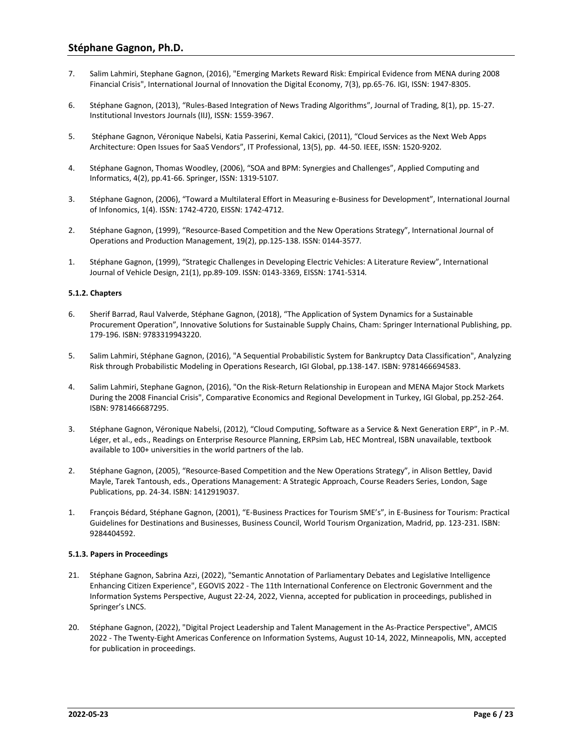- 7. Salim Lahmiri, Stephane Gagnon, (2016), "Emerging Markets Reward Risk: Empirical Evidence from MENA during 2008 Financial Crisis", International Journal of Innovation the Digital Economy, 7(3), pp.65-76. IGI, ISSN: 1947-8305.
- 6. Stéphane Gagnon, (2013), "Rules-Based Integration of News Trading Algorithms", Journal of Trading, 8(1), pp. 15-27. Institutional Investors Journals (IIJ), ISSN: 1559-3967.
- 5. Stéphane Gagnon, Véronique Nabelsi, Katia Passerini, Kemal Cakici, (2011), "Cloud Services as the Next Web Apps Architecture: Open Issues for SaaS Vendors", IT Professional, 13(5), pp. 44-50. IEEE, ISSN: 1520-9202*.*
- 4. Stéphane Gagnon, Thomas Woodley, (2006), "SOA and BPM: Synergies and Challenges", Applied Computing and Informatics, 4(2), pp.41-66. Springer, ISSN: 1319-5107*.*
- 3. Stéphane Gagnon, (2006), "Toward a Multilateral Effort in Measuring e-Business for Development", International Journal of Infonomics, 1(4). ISSN: 1742-4720, EISSN: 1742-4712.
- 2. Stéphane Gagnon, (1999), "Resource-Based Competition and the New Operations Strategy", International Journal of Operations and Production Management, 19(2), pp.125-138. ISSN: 0144-3577*.*
- 1. Stéphane Gagnon, (1999), "Strategic Challenges in Developing Electric Vehicles: A Literature Review", International Journal of Vehicle Design, 21(1), pp.89-109. ISSN: 0143-3369, EISSN: 1741-5314*.*

### **5.1.2. Chapters**

- 6. Sherif Barrad, Raul Valverde, Stéphane Gagnon, (2018), "The Application of System Dynamics for a Sustainable Procurement Operation", Innovative Solutions for Sustainable Supply Chains, Cham: Springer International Publishing, pp. 179-196. ISBN: 9783319943220.
- 5. Salim Lahmiri, Stéphane Gagnon, (2016), "A Sequential Probabilistic System for Bankruptcy Data Classification", Analyzing Risk through Probabilistic Modeling in Operations Research, IGI Global, pp.138-147. ISBN: 9781466694583.
- 4. Salim Lahmiri, Stephane Gagnon, (2016), "On the Risk-Return Relationship in European and MENA Major Stock Markets During the 2008 Financial Crisis", Comparative Economics and Regional Development in Turkey, IGI Global, pp.252-264. ISBN: 9781466687295.
- 3. Stéphane Gagnon, Véronique Nabelsi, (2012), "Cloud Computing, Software as a Service & Next Generation ERP", in P.-M. Léger, et al., eds., Readings on Enterprise Resource Planning, ERPsim Lab, HEC Montreal, ISBN unavailable, textbook available to 100+ universities in the world partners of the lab.
- 2. Stéphane Gagnon, (2005), "Resource-Based Competition and the New Operations Strategy", in Alison Bettley, David Mayle, Tarek Tantoush, eds., Operations Management: A Strategic Approach, Course Readers Series, London, Sage Publications, pp. 24-34. ISBN: 1412919037.
- 1. François Bédard, Stéphane Gagnon, (2001), "E-Business Practices for Tourism SME's", in E-Business for Tourism: Practical Guidelines for Destinations and Businesses, Business Council, World Tourism Organization, Madrid, pp. 123-231. ISBN: 9284404592.

### **5.1.3. Papers in Proceedings**

- 21. Stéphane Gagnon, Sabrina Azzi, (2022), "Semantic Annotation of Parliamentary Debates and Legislative Intelligence Enhancing Citizen Experience", EGOVIS 2022 - The 11th International Conference on Electronic Government and the Information Systems Perspective, August 22-24, 2022, Vienna, accepted for publication in proceedings, published in Springer's LNCS.
- 20. Stéphane Gagnon, (2022), "Digital Project Leadership and Talent Management in the As-Practice Perspective", AMCIS 2022 - The Twenty-Eight Americas Conference on Information Systems, August 10-14, 2022, Minneapolis, MN, accepted for publication in proceedings.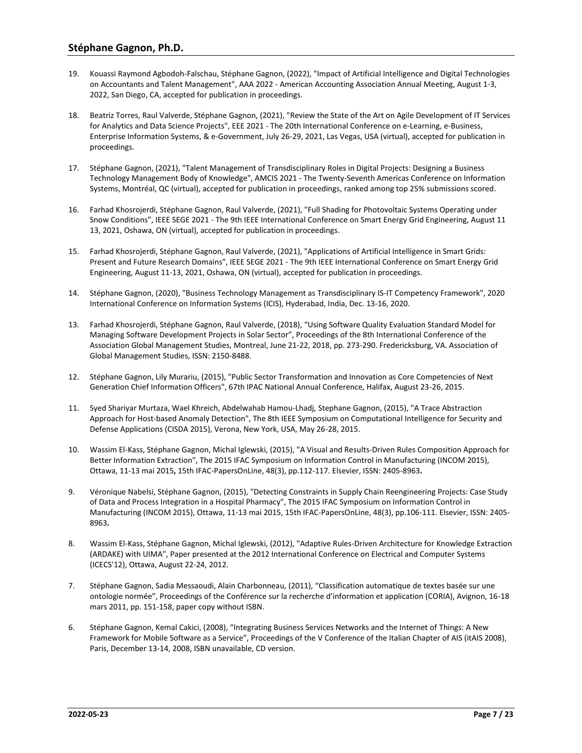- 19. Kouassi Raymond Agbodoh-Falschau, Stéphane Gagnon, (2022), "Impact of Artificial Intelligence and Digital Technologies on Accountants and Talent Management", AAA 2022 - American Accounting Association Annual Meeting, August 1-3, 2022, San Diego, CA, accepted for publication in proceedings.
- 18. Beatriz Torres, Raul Valverde, Stéphane Gagnon, (2021), "Review the State of the Art on Agile Development of IT Services for Analytics and Data Science Projects", EEE 2021 - The 20th International Conference on e-Learning, e-Business, Enterprise Information Systems, & e-Government, July 26-29, 2021, Las Vegas, USA (virtual), accepted for publication in proceedings.
- 17. Stéphane Gagnon, (2021), "Talent Management of Transdisciplinary Roles in Digital Projects: Designing a Business Technology Management Body of Knowledge", AMCIS 2021 - The Twenty-Seventh Americas Conference on Information Systems, Montréal, QC (virtual), accepted for publication in proceedings, ranked among top 25% submissions scored.
- 16. Farhad Khosrojerdi, Stéphane Gagnon, Raul Valverde, (2021), "Full Shading for Photovoltaic Systems Operating under Snow Conditions", IEEE SEGE 2021 - The 9th IEEE International Conference on Smart Energy Grid Engineering, August 11 13, 2021, Oshawa, ON (virtual), accepted for publication in proceedings.
- 15. Farhad Khosrojerdi, Stéphane Gagnon, Raul Valverde, (2021), "Applications of Artificial Intelligence in Smart Grids: Present and Future Research Domains", IEEE SEGE 2021 - The 9th IEEE International Conference on Smart Energy Grid Engineering, August 11-13, 2021, Oshawa, ON (virtual), accepted for publication in proceedings.
- 14. Stéphane Gagnon, (2020), "Business Technology Management as Transdisciplinary IS-IT Competency Framework", 2020 International Conference on Information Systems (ICIS), Hyderabad, India, Dec. 13-16, 2020.
- 13. Farhad Khosrojerdi, Stéphane Gagnon, Raul Valverde, (2018), "Using Software Quality Evaluation Standard Model for Managing Software Development Projects in Solar Sector", Proceedings of the 8th International Conference of the Association Global Management Studies, Montreal, June 21-22, 2018, pp. 273-290. Fredericksburg, VA. Association of Global Management Studies, ISSN: 2150-8488.
- 12. Stéphane Gagnon, Lily Murariu, (2015), "Public Sector Transformation and Innovation as Core Competencies of Next Generation Chief Information Officers", 67th IPAC National Annual Conference, Halifax, August 23-26, 2015.
- 11. Syed Shariyar Murtaza, Wael Khreich, Abdelwahab Hamou-Lhadj, Stephane Gagnon, (2015), "A Trace Abstraction Approach for Host-based Anomaly Detection", The 8th IEEE Symposium on Computational Intelligence for Security and Defense Applications (CISDA 2015), Verona, New York, USA, May 26-28, 2015.
- 10. Wassim El-Kass, Stéphane Gagnon, Michal Iglewski, (2015), "A Visual and Results-Driven Rules Composition Approach for Better Information Extraction", The 2015 IFAC Symposium on Information Control in Manufacturing (INCOM 2015), Ottawa, 11-13 mai 2015**,** 15th IFAC-PapersOnLine, 48(3), pp.112-117. Elsevier, ISSN: 2405-8963**.**
- 9. Véronique Nabelsi, Stéphane Gagnon, (2015), "Detecting Constraints in Supply Chain Reengineering Projects: Case Study of Data and Process Integration in a Hospital Pharmacy", The 2015 IFAC Symposium on Information Control in Manufacturing (INCOM 2015), Ottawa, 11-13 mai 2015, 15th IFAC-PapersOnLine, 48(3), pp.106-111. Elsevier, ISSN: 2405- 8963**.**
- 8. Wassim El-Kass, Stéphane Gagnon, Michal Iglewski, (2012), "Adaptive Rules-Driven Architecture for Knowledge Extraction (ARDAKE) with UIMA", Paper presented at the 2012 International Conference on Electrical and Computer Systems (ICECS'12), Ottawa, August 22-24, 2012.
- 7. Stéphane Gagnon, Sadia Messaoudi, Alain Charbonneau, (2011), "Classification automatique de textes basée sur une ontologie normée", Proceedings of the Conférence sur la recherche d'information et application (CORIA), Avignon, 16-18 mars 2011, pp. 151-158, paper copy without ISBN.
- 6. Stéphane Gagnon, Kemal Cakici, (2008), "Integrating Business Services Networks and the Internet of Things: A New Framework for Mobile Software as a Service", Proceedings of the V Conference of the Italian Chapter of AIS (itAIS 2008), Paris, December 13-14, 2008, ISBN unavailable, CD version.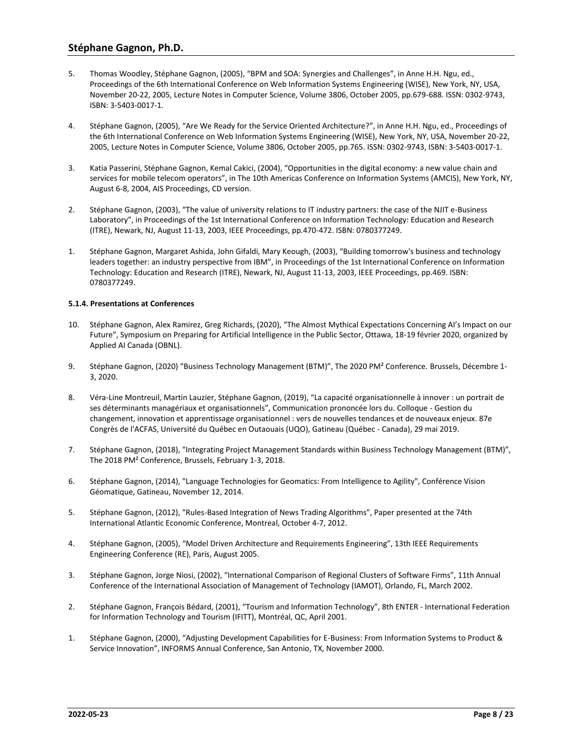- 5. Thomas Woodley, Stéphane Gagnon, (2005), "BPM and SOA: Synergies and Challenges", in Anne H.H. Ngu, ed., Proceedings of the 6th International Conference on Web Information Systems Engineering (WISE), New York, NY, USA, November 20-22, 2005, Lecture Notes in Computer Science, Volume 3806, October 2005, pp.679-688. ISSN: 0302-9743, ISBN: 3-5403-0017-1*.*
- 4. Stéphane Gagnon, (2005), "Are We Ready for the Service Oriented Architecture?", in Anne H.H. Ngu, ed., Proceedings of the 6th International Conference on Web Information Systems Engineering (WISE), New York, NY, USA, November 20-22, 2005, Lecture Notes in Computer Science, Volume 3806, October 2005, pp.765. ISSN: 0302-9743, ISBN: 3-5403-0017-1.
- 3. Katia Passerini, Stéphane Gagnon, Kemal Cakici, (2004), "Opportunities in the digital economy: a new value chain and services for mobile telecom operators", in The 10th Americas Conference on Information Systems (AMCIS), New York, NY, August 6-8, 2004, AIS Proceedings, CD version.
- 2. Stéphane Gagnon, (2003), "The value of university relations to IT industry partners: the case of the NJIT e-Business Laboratory", in Proceedings of the 1st International Conference on Information Technology: Education and Research (ITRE), Newark, NJ, August 11-13, 2003, IEEE Proceedings, pp.470-472. ISBN: 0780377249.
- 1. Stéphane Gagnon, Margaret Ashida, John Gifaldi, Mary Keough, (2003), "Building tomorrow's business and technology leaders together: an industry perspective from IBM", in Proceedings of the 1st International Conference on Information Technology: Education and Research (ITRE), Newark, NJ, August 11-13, 2003, IEEE Proceedings, pp.469. ISBN: 0780377249.

### **5.1.4. Presentations at Conferences**

- 10. Stéphane Gagnon, Alex Ramirez, Greg Richards, (2020), "The Almost Mythical Expectations Concerning AI's Impact on our Future", Symposium on Preparing for Artificial Intelligence in the Public Sector, Ottawa, 18-19 février 2020, organized by Applied AI Canada (OBNL).
- 9. Stéphane Gagnon, (2020) "Business Technology Management (BTM)", The 2020 PM² Conference. Brussels, Décembre 1- 3, 2020.
- 8. Véra-Line Montreuil, Martin Lauzier, Stéphane Gagnon, (2019), "La capacité organisationnelle à innover : un portrait de ses déterminants managériaux et organisationnels", Communication prononcée lors du. Colloque - Gestion du changement, innovation et apprentissage organisationnel : vers de nouvelles tendances et de nouveaux enjeux. 87e Congrès de l'ACFAS, Université du Québec en Outaouais (UQO), Gatineau (Québec - Canada), 29 mai 2019.
- 7. Stéphane Gagnon, (2018), "Integrating Project Management Standards within Business Technology Management (BTM)", The 2018 PM² Conference, Brussels, February 1-3, 2018.
- 6. Stéphane Gagnon, (2014), "Language Technologies for Geomatics: From Intelligence to Agility", Conférence Vision Géomatique, Gatineau, November 12, 2014.
- 5. Stéphane Gagnon, (2012), "Rules-Based Integration of News Trading Algorithms", Paper presented at the 74th International Atlantic Economic Conference, Montreal, October 4-7, 2012.
- 4. Stéphane Gagnon, (2005), "Model Driven Architecture and Requirements Engineering", 13th IEEE Requirements Engineering Conference (RE), Paris, August 2005.
- 3. Stéphane Gagnon, Jorge Niosi, (2002), "International Comparison of Regional Clusters of Software Firms", 11th Annual Conference of the International Association of Management of Technology (IAMOT), Orlando, FL, March 2002.
- 2. Stéphane Gagnon, François Bédard, (2001), "Tourism and Information Technology", 8th ENTER International Federation for Information Technology and Tourism (IFITT), Montréal, QC, April 2001.
- 1. Stéphane Gagnon, (2000), "Adjusting Development Capabilities for E-Business: From Information Systems to Product & Service Innovation", INFORMS Annual Conference, San Antonio, TX, November 2000.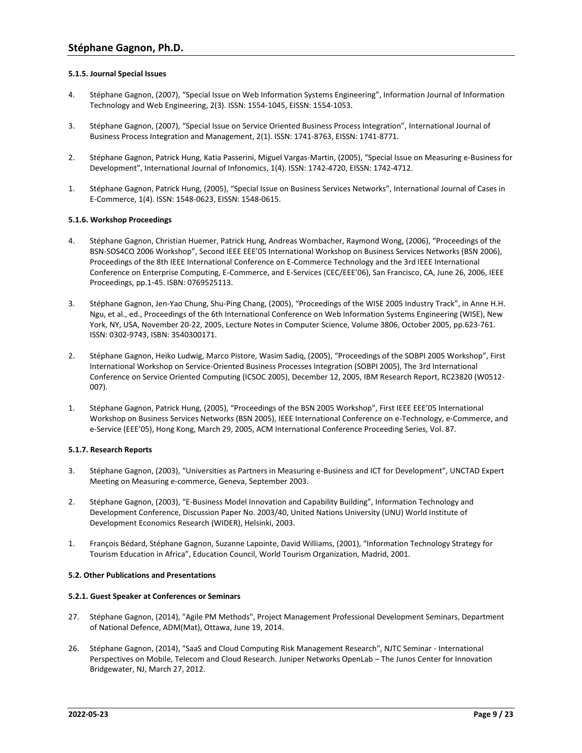### **5.1.5. Journal Special Issues**

- 4. Stéphane Gagnon, (2007), "Special Issue on Web Information Systems Engineering", Information Journal of Information Technology and Web Engineering, 2(3). ISSN: 1554-1045, EISSN: 1554-1053.
- 3. Stéphane Gagnon, (2007), "Special Issue on Service Oriented Business Process Integration", International Journal of Business Process Integration and Management, 2(1). ISSN: 1741-8763, EISSN: 1741-8771.
- 2. Stéphane Gagnon, Patrick Hung, Katia Passerini, Miguel Vargas-Martin, (2005), "Special Issue on Measuring e-Business for Development", International Journal of Infonomics, 1(4). ISSN: 1742-4720, EISSN: 1742-4712.
- 1. Stéphane Gagnon, Patrick Hung, (2005), "Special Issue on Business Services Networks", International Journal of Cases in E-Commerce, 1(4). ISSN: 1548-0623, EISSN: 1548-0615.

### **5.1.6. Workshop Proceedings**

- 4. Stéphane Gagnon, Christian Huemer, Patrick Hung, Andreas Wombacher, Raymond Wong, (2006), "Proceedings of the BSN-SOS4CO 2006 Workshop", Second IEEE EEE'05 International Workshop on Business Services Networks (BSN 2006), Proceedings of the 8th IEEE International Conference on E-Commerce Technology and the 3rd IEEE International Conference on Enterprise Computing, E-Commerce, and E-Services (CEC/EEE'06), San Francisco, CA, June 26, 2006, IEEE Proceedings, pp.1-45. ISBN: 0769525113.
- 3. Stéphane Gagnon, Jen-Yao Chung, Shu-Ping Chang, (2005), "Proceedings of the WISE 2005 Industry Track", in Anne H.H. Ngu, et al., ed., Proceedings of the 6th International Conference on Web Information Systems Engineering (WISE), New York, NY, USA, November 20-22, 2005, Lecture Notes in Computer Science, Volume 3806, October 2005, pp.623-761. ISSN: 0302-9743, ISBN: 3540300171.
- 2. Stéphane Gagnon, Heiko Ludwig, Marco Pistore, Wasim Sadiq, (2005), "Proceedings of the SOBPI 2005 Workshop", First International Workshop on Service-Oriented Business Processes Integration (SOBPI 2005), The 3rd International Conference on Service Oriented Computing (ICSOC 2005), December 12, 2005, IBM Research Report, RC23820 (W0512- 007).
- 1. Stéphane Gagnon, Patrick Hung, (2005), "Proceedings of the BSN 2005 Workshop", First IEEE EEE'05 International Workshop on Business Services Networks (BSN 2005), IEEE International Conference on e-Technology, e-Commerce, and e-Service (EEE'05), Hong Kong, March 29, 2005, ACM International Conference Proceeding Series, Vol. 87.

### **5.1.7. Research Reports**

- 3. Stéphane Gagnon, (2003), "Universities as Partners in Measuring e-Business and ICT for Development", UNCTAD Expert Meeting on Measuring e-commerce, Geneva, September 2003.
- 2. Stéphane Gagnon, (2003), "E-Business Model Innovation and Capability Building", Information Technology and Development Conference, Discussion Paper No. 2003/40, United Nations University (UNU) World Institute of Development Economics Research (WIDER), Helsinki, 2003.
- 1. François Bédard, Stéphane Gagnon, Suzanne Lapointe, David Williams, (2001), "Information Technology Strategy for Tourism Education in Africa", Education Council, World Tourism Organization, Madrid, 2001.

### **5.2. Other Publications and Presentations**

### **5.2.1. Guest Speaker at Conferences or Seminars**

- 27. Stéphane Gagnon, (2014), "Agile PM Methods", Project Management Professional Development Seminars, Department of National Defence, ADM(Mat), Ottawa, June 19, 2014.
- 26. Stéphane Gagnon, (2014), "SaaS and Cloud Computing Risk Management Research", NJTC Seminar International Perspectives on Mobile, Telecom and Cloud Research. Juniper Networks OpenLab – The Junos Center for Innovation Bridgewater, NJ, March 27, 2012.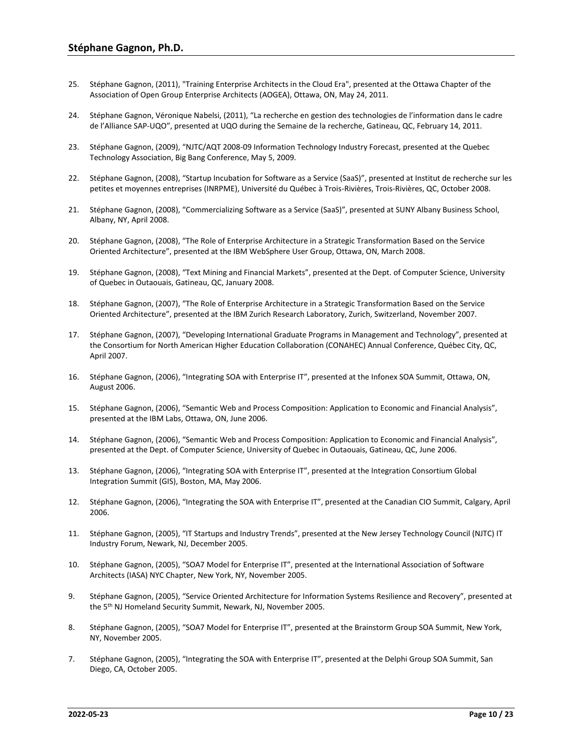- 25. Stéphane Gagnon, (2011), "Training Enterprise Architects in the Cloud Era", presented at the Ottawa Chapter of the Association of Open Group Enterprise Architects (AOGEA), Ottawa, ON, May 24, 2011.
- 24. Stéphane Gagnon, Véronique Nabelsi, (2011), "La recherche en gestion des technologies de l'information dans le cadre de l'Alliance SAP-UQO", presented at UQO during the Semaine de la recherche, Gatineau, QC, February 14, 2011.
- 23. Stéphane Gagnon, (2009), "NJTC/AQT 2008-09 Information Technology Industry Forecast, presented at the Quebec Technology Association, Big Bang Conference, May 5, 2009.
- 22. Stéphane Gagnon, (2008), "Startup Incubation for Software as a Service (SaaS)", presented at Institut de recherche sur les petites et moyennes entreprises (INRPME), Université du Québec à Trois-Rivières, Trois-Rivières, QC, October 2008.
- 21. Stéphane Gagnon, (2008), "Commercializing Software as a Service (SaaS)", presented at SUNY Albany Business School, Albany, NY, April 2008.
- 20. Stéphane Gagnon, (2008), "The Role of Enterprise Architecture in a Strategic Transformation Based on the Service Oriented Architecture", presented at the IBM WebSphere User Group, Ottawa, ON, March 2008.
- 19. Stéphane Gagnon, (2008), "Text Mining and Financial Markets", presented at the Dept. of Computer Science, University of Quebec in Outaouais, Gatineau, QC, January 2008.
- 18. Stéphane Gagnon, (2007), "The Role of Enterprise Architecture in a Strategic Transformation Based on the Service Oriented Architecture", presented at the IBM Zurich Research Laboratory, Zurich, Switzerland, November 2007.
- 17. Stéphane Gagnon, (2007), "Developing International Graduate Programs in Management and Technology", presented at the Consortium for North American Higher Education Collaboration (CONAHEC) Annual Conference, Québec City, QC, April 2007.
- 16. Stéphane Gagnon, (2006), "Integrating SOA with Enterprise IT", presented at the Infonex SOA Summit, Ottawa, ON, August 2006.
- 15. Stéphane Gagnon, (2006), "Semantic Web and Process Composition: Application to Economic and Financial Analysis", presented at the IBM Labs, Ottawa, ON, June 2006.
- 14. Stéphane Gagnon, (2006), "Semantic Web and Process Composition: Application to Economic and Financial Analysis", presented at the Dept. of Computer Science, University of Quebec in Outaouais, Gatineau, QC, June 2006.
- 13. Stéphane Gagnon, (2006), "Integrating SOA with Enterprise IT", presented at the Integration Consortium Global Integration Summit (GIS), Boston, MA, May 2006.
- 12. Stéphane Gagnon, (2006), "Integrating the SOA with Enterprise IT", presented at the Canadian CIO Summit, Calgary, April 2006.
- 11. Stéphane Gagnon, (2005), "IT Startups and Industry Trends", presented at the New Jersey Technology Council (NJTC) IT Industry Forum, Newark, NJ, December 2005.
- 10. Stéphane Gagnon, (2005), "SOA7 Model for Enterprise IT", presented at the International Association of Software Architects (IASA) NYC Chapter, New York, NY, November 2005.
- 9. Stéphane Gagnon, (2005), "Service Oriented Architecture for Information Systems Resilience and Recovery", presented at the 5th NJ Homeland Security Summit, Newark, NJ, November 2005.
- 8. Stéphane Gagnon, (2005), "SOA7 Model for Enterprise IT", presented at the Brainstorm Group SOA Summit, New York, NY, November 2005.
- 7. Stéphane Gagnon, (2005), "Integrating the SOA with Enterprise IT", presented at the Delphi Group SOA Summit, San Diego, CA, October 2005.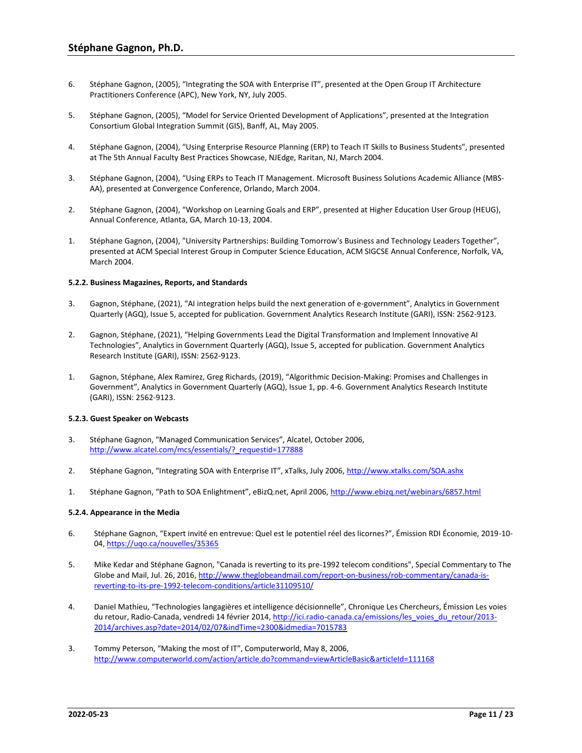- 6. Stéphane Gagnon, (2005), "Integrating the SOA with Enterprise IT", presented at the Open Group IT Architecture Practitioners Conference (APC), New York, NY, July 2005.
- 5. Stéphane Gagnon, (2005), "Model for Service Oriented Development of Applications", presented at the Integration Consortium Global Integration Summit (GIS), Banff, AL, May 2005.
- 4. Stéphane Gagnon, (2004), "Using Enterprise Resource Planning (ERP) to Teach IT Skills to Business Students", presented at The 5th Annual Faculty Best Practices Showcase, NJEdge, Raritan, NJ, March 2004.
- 3. Stéphane Gagnon, (2004), "Using ERPs to Teach IT Management. Microsoft Business Solutions Academic Alliance (MBS-AA), presented at Convergence Conference, Orlando, March 2004.
- 2. Stéphane Gagnon, (2004), "Workshop on Learning Goals and ERP", presented at Higher Education User Group (HEUG), Annual Conference, Atlanta, GA, March 10-13, 2004.
- 1. Stéphane Gagnon, (2004), "University Partnerships: Building Tomorrow's Business and Technology Leaders Together", presented at ACM Special Interest Group in Computer Science Education, ACM SIGCSE Annual Conference, Norfolk, VA, March 2004.

### **5.2.2. Business Magazines, Reports, and Standards**

- 3. Gagnon, Stéphane, (2021), "AI integration helps build the next generation of e-government", Analytics in Government Quarterly (AGQ), Issue 5, accepted for publication. Government Analytics Research Institute (GARI), ISSN: 2562-9123.
- 2. Gagnon, Stéphane, (2021), "Helping Governments Lead the Digital Transformation and Implement Innovative AI Technologies", Analytics in Government Quarterly (AGQ), Issue 5, accepted for publication. Government Analytics Research Institute (GARI), ISSN: 2562-9123.
- 1. Gagnon, Stéphane, Alex Ramirez, Greg Richards, (2019), "Algorithmic Decision-Making: Promises and Challenges in Government", Analytics in Government Quarterly (AGQ), Issue 1, pp. 4-6. Government Analytics Research Institute (GARI), ISSN: 2562-9123.

### **5.2.3. Guest Speaker on Webcasts**

- 3. Stéphane Gagnon, "Managed Communication Services", Alcatel, October 2006, http://www.alcatel.com/mcs/essentials/? requestid=177888
- 2. Stéphane Gagnon, "Integrating SOA with Enterprise IT", xTalks, July 2006, <http://www.xtalks.com/SOA.ashx>
- 1. Stéphane Gagnon, "Path to SOA Enlightment", eBizQ.net, April 2006, <http://www.ebizq.net/webinars/6857.html>

### **5.2.4. Appearance in the Media**

- 6. Stéphane Gagnon, "Expert invité en entrevue: Quel est le potentiel réel des licornes?", Émission RDI Économie, 2019-10- 04[, https://uqo.ca/nouvelles/35365](https://uqo.ca/nouvelles/35365)
- 5. Mike Kedar and Stéphane Gagnon, "Canada is reverting to its pre-1992 telecom conditions", Special Commentary to The Globe and Mail, Jul. 26, 2016, [http://www.theglobeandmail.com/report-on-business/rob-commentary/canada-is](http://www.theglobeandmail.com/report-on-business/rob-commentary/canada-is-reverting-to-its-pre-1992-telecom-conditions/article31109510/)[reverting-to-its-pre-1992-telecom-conditions/article31109510/](http://www.theglobeandmail.com/report-on-business/rob-commentary/canada-is-reverting-to-its-pre-1992-telecom-conditions/article31109510/)
- 4. Daniel Mathieu, "Technologies langagières et intelligence décisionnelle", Chronique Les Chercheurs, Émission Les voies du retour, Radio-Canada, vendredi 14 février 2014[, http://ici.radio-canada.ca/emissions/les\\_voies\\_du\\_retour/2013-](http://ici.radio-canada.ca/emissions/les_voies_du_retour/2013-2014/archives.asp?date=2014/02/07&indTime=2300&idmedia=7015783) [2014/archives.asp?date=2014/02/07&indTime=2300&idmedia=7015783](http://ici.radio-canada.ca/emissions/les_voies_du_retour/2013-2014/archives.asp?date=2014/02/07&indTime=2300&idmedia=7015783)
- 3. Tommy Peterson, "Making the most of IT", Computerworld, May 8, 2006, <http://www.computerworld.com/action/article.do?command=viewArticleBasic&articleId=111168>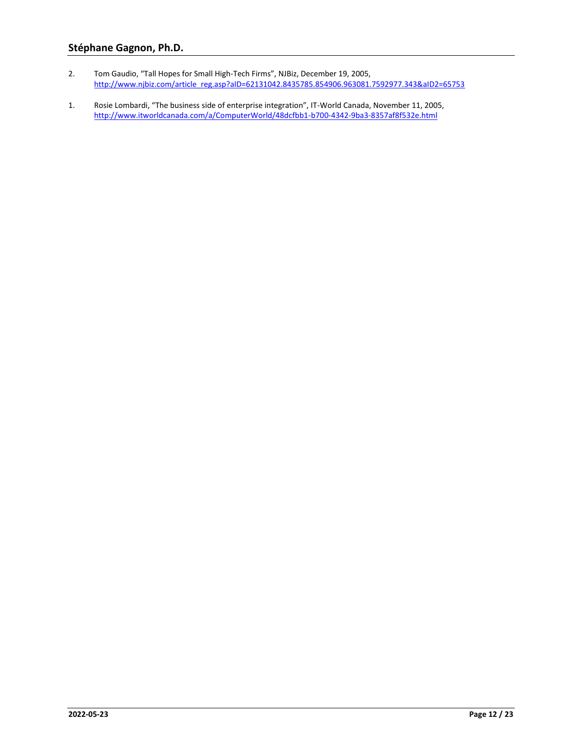- 2. Tom Gaudio, "Tall Hopes for Small High-Tech Firms", NJBiz, December 19, 2005, [http://www.njbiz.com/article\\_reg.asp?aID=62131042.8435785.854906.963081.7592977.343&aID2=65753](http://www.njbiz.com/article_reg.asp?aID=62131042.8435785.854906.963081.7592977.343&aID2=65753)
- 1. Rosie Lombardi, "The business side of enterprise integration", IT-World Canada, November 11, 2005, <http://www.itworldcanada.com/a/ComputerWorld/48dcfbb1-b700-4342-9ba3-8357af8f532e.html>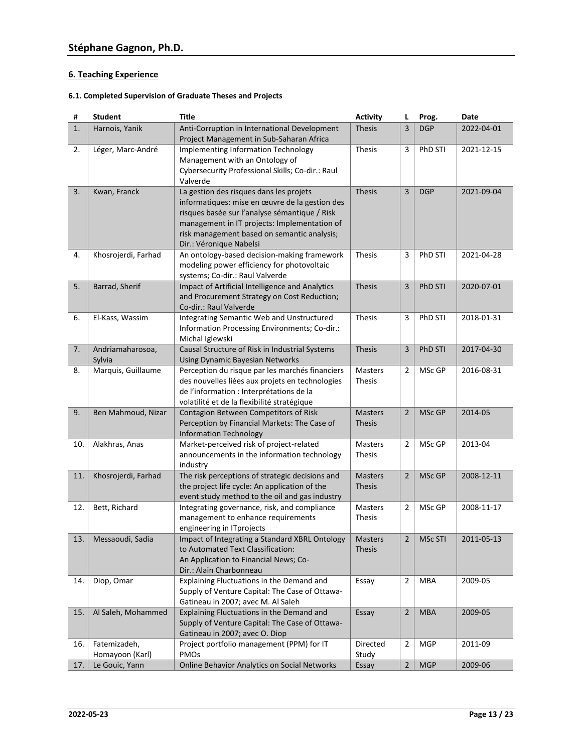## **6. Teaching Experience**

## **6.1. Completed Supervision of Graduate Theses and Projects**

| #   | <b>Student</b>             | <b>Title</b>                                                                                                                                                                                                                                                         | <b>Activity</b>                 | L              | Prog.          | Date       |
|-----|----------------------------|----------------------------------------------------------------------------------------------------------------------------------------------------------------------------------------------------------------------------------------------------------------------|---------------------------------|----------------|----------------|------------|
| 1.  | Harnois, Yanik             | Anti-Corruption in International Development<br>Project Management in Sub-Saharan Africa                                                                                                                                                                             | <b>Thesis</b>                   | 3              | <b>DGP</b>     | 2022-04-01 |
| 2.  | Léger, Marc-André          | <b>Implementing Information Technology</b><br>Management with an Ontology of<br>Cybersecurity Professional Skills; Co-dir.: Raul<br>Valverde                                                                                                                         | <b>Thesis</b>                   | 3              | PhD STI        | 2021-12-15 |
| 3.  | Kwan, Franck               | La gestion des risques dans les projets<br>informatiques: mise en œuvre de la gestion des<br>risques basée sur l'analyse sémantique / Risk<br>management in IT projects: Implementation of<br>risk management based on semantic analysis;<br>Dir.: Véronique Nabelsi | <b>Thesis</b>                   | 3              | <b>DGP</b>     | 2021-09-04 |
| 4.  | Khosrojerdi, Farhad        | An ontology-based decision-making framework<br>modeling power efficiency for photovoltaic<br>systems; Co-dir.: Raul Valverde                                                                                                                                         | <b>Thesis</b>                   | 3              | PhD STI        | 2021-04-28 |
| 5.  | Barrad, Sherif             | Impact of Artificial Intelligence and Analytics<br>and Procurement Strategy on Cost Reduction;<br>Co-dir.: Raul Valverde                                                                                                                                             | <b>Thesis</b>                   | 3              | <b>PhD STI</b> | 2020-07-01 |
| 6.  | El-Kass, Wassim            | Integrating Semantic Web and Unstructured<br>Information Processing Environments; Co-dir.:<br>Michal Iglewski                                                                                                                                                        | <b>Thesis</b>                   | 3              | PhD STI        | 2018-01-31 |
| 7.  | Andriamaharosoa,<br>Sylvia | Causal Structure of Risk in Industrial Systems<br>Using Dynamic Bayesian Networks                                                                                                                                                                                    | <b>Thesis</b>                   | 3              | <b>PhD STI</b> | 2017-04-30 |
| 8.  | Marquis, Guillaume         | Perception du risque par les marchés financiers<br>des nouvelles liées aux projets en technologies<br>de l'information : Interprétations de la<br>volatilité et de la flexibilité stratégique                                                                        | Masters<br><b>Thesis</b>        | 2              | MSc GP         | 2016-08-31 |
| 9.  | Ben Mahmoud, Nizar         | Contagion Between Competitors of Risk<br>Perception by Financial Markets: The Case of<br><b>Information Technology</b>                                                                                                                                               | <b>Masters</b><br><b>Thesis</b> | $\overline{2}$ | MSc GP         | 2014-05    |
| 10. | Alakhras, Anas             | Market-perceived risk of project-related<br>announcements in the information technology<br>industry                                                                                                                                                                  | <b>Masters</b><br><b>Thesis</b> | 2              | MSc GP         | 2013-04    |
| 11. | Khosrojerdi, Farhad        | The risk perceptions of strategic decisions and<br>the project life cycle: An application of the<br>event study method to the oil and gas industry                                                                                                                   | <b>Masters</b><br><b>Thesis</b> | $\overline{2}$ | MSc GP         | 2008-12-11 |
| 12. | Bett, Richard              | Integrating governance, risk, and compliance<br>management to enhance requirements<br>engineering in ITprojects                                                                                                                                                      | Masters<br><b>Thesis</b>        | 2              | MSc GP         | 2008-11-17 |
| 13. | Messaoudi, Sadia           | Impact of Integrating a Standard XBRL Ontology<br>to Automated Text Classification:<br>An Application to Financial News; Co-<br>Dir.: Alain Charbonneau                                                                                                              | Masters<br><b>Thesis</b>        | $\overline{2}$ | MSc STI        | 2011-05-13 |
| 14. | Diop, Omar                 | Explaining Fluctuations in the Demand and<br>Supply of Venture Capital: The Case of Ottawa-<br>Gatineau in 2007; avec M. Al Saleh                                                                                                                                    | Essay                           | $\overline{2}$ | MBA            | 2009-05    |
| 15. | Al Saleh, Mohammed         | Explaining Fluctuations in the Demand and<br>Supply of Venture Capital: The Case of Ottawa-<br>Gatineau in 2007; avec O. Diop                                                                                                                                        | Essay                           | $\overline{2}$ | <b>MBA</b>     | 2009-05    |
| 16. | Fatemizadeh,               | Project portfolio management (PPM) for IT                                                                                                                                                                                                                            | Directed                        | $\overline{2}$ | <b>MGP</b>     | 2011-09    |
|     | Homayoon (Karl)            | PMOs                                                                                                                                                                                                                                                                 | Study                           |                |                |            |
| 17. | Le Gouic, Yann             | <b>Online Behavior Analytics on Social Networks</b>                                                                                                                                                                                                                  | Essay                           | $\overline{2}$ | <b>MGP</b>     | 2009-06    |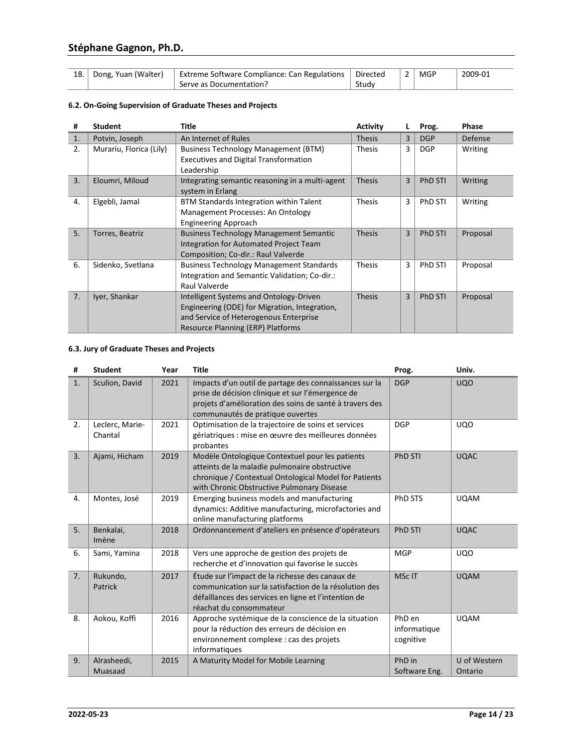| 18.1 | Dong, Yuan (Walter) | Extreme Software Compliance: Can Regulations   Directed |       | MGP | 2009-01 |
|------|---------------------|---------------------------------------------------------|-------|-----|---------|
|      |                     | Serve as Documentation?                                 | Studv |     |         |

## **6.2. On-Going Supervision of Graduate Theses and Projects**

| #              | <b>Student</b>          | <b>Title</b>                                    | <b>Activity</b> |   | Prog.          | <b>Phase</b> |  |
|----------------|-------------------------|-------------------------------------------------|-----------------|---|----------------|--------------|--|
| $\mathbf{1}$ . | Potvin, Joseph          | An Internet of Rules                            | <b>Thesis</b>   | 3 | <b>DGP</b>     | Defense      |  |
| 2.             | Murariu, Florica (Lily) | <b>Business Technology Management (BTM)</b>     | <b>Thesis</b>   | 3 | <b>DGP</b>     | Writing      |  |
|                |                         | <b>Executives and Digital Transformation</b>    |                 |   |                |              |  |
|                |                         | Leadership                                      |                 |   |                |              |  |
| 3.             | Eloumri, Miloud         | Integrating semantic reasoning in a multi-agent | <b>Thesis</b>   | 3 | <b>PhD STI</b> | Writing      |  |
|                |                         | system in Erlang                                |                 |   |                |              |  |
| 4.             | Elgebli, Jamal          | BTM Standards Integration within Talent         | <b>Thesis</b>   | 3 | <b>PhD STI</b> | Writing      |  |
|                |                         | Management Processes: An Ontology               |                 |   |                |              |  |
|                |                         | Engineering Approach                            |                 |   |                |              |  |
| 5 <sub>1</sub> | Torres, Beatriz         | <b>Business Technology Management Semantic</b>  | <b>Thesis</b>   | 3 | PhD STI        | Proposal     |  |
|                |                         | Integration for Automated Project Team          |                 |   |                |              |  |
|                |                         | Composition; Co-dir.: Raul Valverde             |                 |   |                |              |  |
| 6.             | Sidenko, Svetlana       | <b>Business Technology Management Standards</b> | <b>Thesis</b>   | 3 | PhD STI        | Proposal     |  |
|                |                         | Integration and Semantic Validation; Co-dir.:   |                 |   |                |              |  |
|                |                         | Raul Valverde                                   |                 |   |                |              |  |
| 7.             | Iyer, Shankar           | Intelligent Systems and Ontology-Driven         | <b>Thesis</b>   | 3 | <b>PhD STI</b> | Proposal     |  |
|                |                         | Engineering (ODE) for Migration, Integration,   |                 |   |                |              |  |
|                |                         | and Service of Heterogenous Enterprise          |                 |   |                |              |  |
|                |                         | Resource Planning (ERP) Platforms               |                 |   |                |              |  |

## **6.3. Jury of Graduate Theses and Projects**

| #  | <b>Student</b>             | Year | <b>Title</b>                                                                                                                                                                                              | Prog.                               | Univ.                   |
|----|----------------------------|------|-----------------------------------------------------------------------------------------------------------------------------------------------------------------------------------------------------------|-------------------------------------|-------------------------|
| 1. | Sculion, David             | 2021 | Impacts d'un outil de partage des connaissances sur la<br>prise de décision clinique et sur l'émergence de<br>projets d'amélioration des soins de santé à travers des<br>communautés de pratique ouvertes | <b>DGP</b>                          | <b>UQO</b>              |
| 2. | Leclerc, Marie-<br>Chantal | 2021 | Optimisation de la trajectoire de soins et services<br>gériatriques : mise en œuvre des meilleures données<br>probantes                                                                                   | <b>DGP</b>                          | <b>UQO</b>              |
| 3. | Ajami, Hicham              | 2019 | Modèle Ontologique Contextuel pour les patients<br>atteints de la maladie pulmonaire obstructive<br>chronique / Contextual Ontological Model for Patients<br>with Chronic Obstructive Pulmonary Disease   | <b>PhD STI</b>                      | <b>UQAC</b>             |
| 4. | Montes, José               | 2019 | Emerging business models and manufacturing<br>dynamics: Additive manufacturing, microfactories and<br>online manufacturing platforms                                                                      | PhD STS                             | <b>UQAM</b>             |
| 5. | Benkalai,<br>Imène         | 2018 | Ordonnancement d'ateliers en présence d'opérateurs                                                                                                                                                        | <b>PhD STI</b>                      | <b>UQAC</b>             |
| 6. | Sami, Yamina               | 2018 | Vers une approche de gestion des projets de<br>recherche et d'innovation qui favorise le succès                                                                                                           | <b>MGP</b>                          | <b>UQO</b>              |
| 7. | Rukundo,<br>Patrick        | 2017 | Étude sur l'impact de la richesse des canaux de<br>communication sur la satisfaction de la résolution des<br>défaillances des services en ligne et l'intention de<br>réachat du consommateur              | MSc IT                              | <b>UQAM</b>             |
| 8. | Aokou, Koffi               | 2016 | Approche systémique de la conscience de la situation<br>pour la réduction des erreurs de décision en<br>environnement complexe : cas des projets<br>informatiques                                         | PhD en<br>informatique<br>cognitive | <b>UQAM</b>             |
| 9. | Alrasheedi,<br>Muasaad     | 2015 | A Maturity Model for Mobile Learning                                                                                                                                                                      | PhD in<br>Software Eng.             | U of Western<br>Ontario |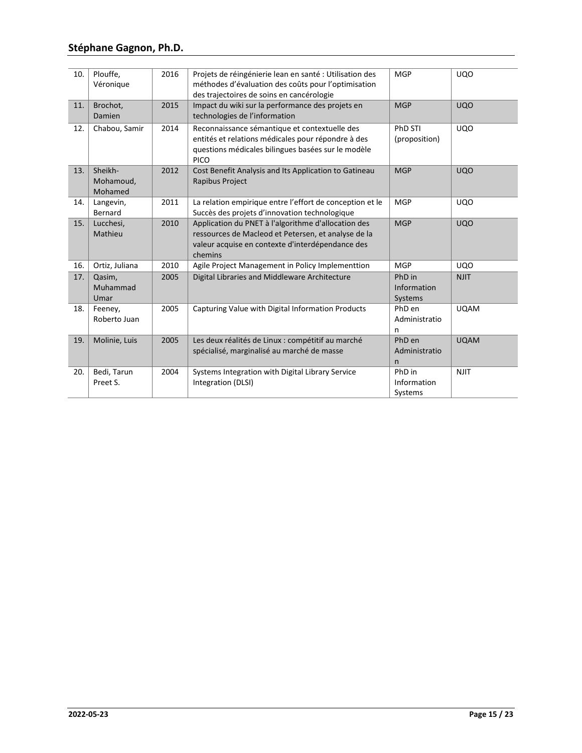| 10. | Plouffe,<br>Véronique           | 2016 | Projets de réingénierie lean en santé : Utilisation des<br>méthodes d'évaluation des coûts pour l'optimisation<br>des trajectoires de soins en cancérologie               | <b>MGP</b>                              | <b>UQO</b>  |
|-----|---------------------------------|------|---------------------------------------------------------------------------------------------------------------------------------------------------------------------------|-----------------------------------------|-------------|
| 11. | Brochot,<br>Damien              | 2015 | Impact du wiki sur la performance des projets en<br>technologies de l'information                                                                                         | <b>MGP</b>                              | <b>UQO</b>  |
| 12. | Chabou, Samir                   | 2014 | Reconnaissance sémantique et contextuelle des<br>entités et relations médicales pour répondre à des<br>questions médicales bilingues basées sur le modèle<br><b>PICO</b>  | PhD STI<br>(proposition)                | <b>UQO</b>  |
| 13. | Sheikh-<br>Mohamoud,<br>Mohamed | 2012 | Cost Benefit Analysis and Its Application to Gatineau<br><b>Rapibus Project</b>                                                                                           | <b>MGP</b>                              | <b>UQO</b>  |
| 14. | Langevin,<br>Bernard            | 2011 | La relation empirique entre l'effort de conception et le<br>Succès des projets d'innovation technologique                                                                 | <b>MGP</b>                              | <b>UQO</b>  |
| 15. | Lucchesi,<br>Mathieu            | 2010 | Application du PNET à l'algorithme d'allocation des<br>ressources de Macleod et Petersen, et analyse de la<br>valeur acquise en contexte d'interdépendance des<br>chemins | <b>MGP</b>                              | <b>UQO</b>  |
| 16. | Ortiz, Juliana                  | 2010 | Agile Project Management in Policy Implementtion                                                                                                                          | <b>MGP</b>                              | <b>UQO</b>  |
| 17. | Qasim,<br>Muhammad<br>Umar      | 2005 | Digital Libraries and Middleware Architecture                                                                                                                             | PhD in<br>Information<br>Systems        | <b>NJIT</b> |
| 18. | Feeney,<br>Roberto Juan         | 2005 | Capturing Value with Digital Information Products                                                                                                                         | PhD en<br>Administratio<br>n            | <b>UQAM</b> |
| 19. | Molinie, Luis                   | 2005 | Les deux réalités de Linux : compétitif au marché<br>spécialisé, marginalisé au marché de masse                                                                           | PhD en<br>Administratio<br>$\mathsf{n}$ | <b>UQAM</b> |
| 20. | Bedi, Tarun<br>Preet S.         | 2004 | Systems Integration with Digital Library Service<br>Integration (DLSI)                                                                                                    | PhD in<br>Information<br>Systems        | <b>NJIT</b> |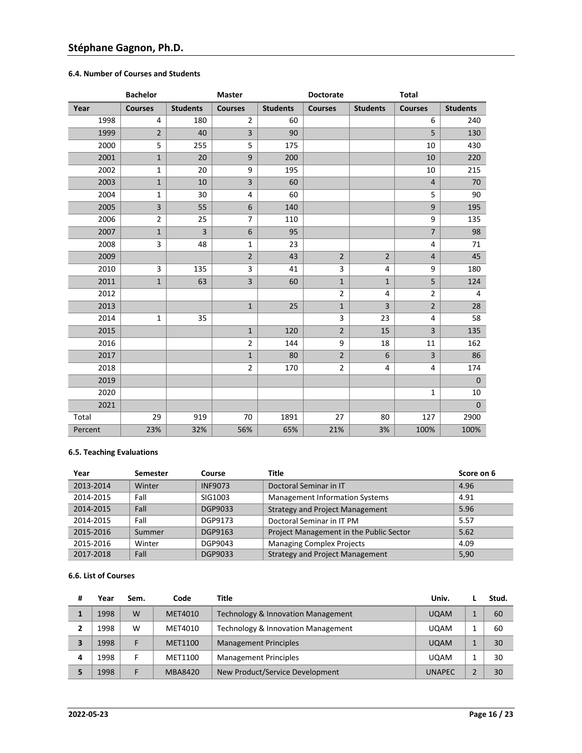## **6.4. Number of Courses and Students**

|         | <b>Bachelor</b> |                 | <b>Master</b>           |                 | <b>Doctorate</b> |                 | <b>Total</b>            |                 |
|---------|-----------------|-----------------|-------------------------|-----------------|------------------|-----------------|-------------------------|-----------------|
| Year    | <b>Courses</b>  | <b>Students</b> | <b>Courses</b>          | <b>Students</b> | <b>Courses</b>   | <b>Students</b> | <b>Courses</b>          | <b>Students</b> |
| 1998    | 4               | 180             | $\overline{2}$          | 60              |                  |                 | 6                       | 240             |
| 1999    | $\overline{2}$  | 40              | $\overline{\mathbf{3}}$ | 90              |                  |                 | 5                       | 130             |
| 2000    | 5               | 255             | 5                       | 175             |                  |                 | 10                      | 430             |
| 2001    | $\mathbf{1}$    | 20              | 9                       | 200             |                  |                 | 10                      | 220             |
| 2002    | $\mathbf{1}$    | 20              | 9                       | 195             |                  |                 | 10                      | 215             |
| 2003    | $\mathbf{1}$    | 10              | 3                       | 60              |                  |                 | $\overline{4}$          | 70              |
| 2004    | 1               | 30              | 4                       | 60              |                  |                 | 5                       | 90              |
| 2005    | 3               | 55              | 6                       | 140             |                  |                 | 9                       | 195             |
| 2006    | $\overline{2}$  | 25              | $\overline{7}$          | 110             |                  |                 | 9                       | 135             |
| 2007    | $\mathbf{1}$    | $\overline{3}$  | 6                       | 95              |                  |                 | $\overline{7}$          | 98              |
| 2008    | 3               | 48              | $\mathbf{1}$            | 23              |                  |                 | 4                       | 71              |
| 2009    |                 |                 | $\overline{2}$          | 43              | $\overline{2}$   | $\overline{2}$  | $\overline{4}$          | 45              |
| 2010    | 3               | 135             | 3                       | 41              | 3                | 4               | 9                       | 180             |
| 2011    | $\mathbf 1$     | 63              | $\overline{\mathbf{3}}$ | 60              | $\mathbf{1}$     | $\mathbf{1}$    | 5                       | 124             |
| 2012    |                 |                 |                         |                 | $\overline{2}$   | 4               | $\overline{2}$          | 4               |
| 2013    |                 |                 | $\mathbf{1}$            | 25              | $\mathbf{1}$     | 3               | $\overline{2}$          | 28              |
| 2014    | $\mathbf 1$     | 35              |                         |                 | 3                | 23              | 4                       | 58              |
| 2015    |                 |                 | $\mathbf 1$             | 120             | $\overline{2}$   | 15              | $\overline{\mathbf{3}}$ | 135             |
| 2016    |                 |                 | $\overline{2}$          | 144             | 9                | 18              | 11                      | 162             |
| 2017    |                 |                 | $\mathbf{1}$            | 80              | $\overline{2}$   | 6               | $\overline{3}$          | 86              |
| 2018    |                 |                 | $\overline{2}$          | 170             | $\overline{2}$   | 4               | 4                       | 174             |
| 2019    |                 |                 |                         |                 |                  |                 |                         | $\mathbf 0$     |
| 2020    |                 |                 |                         |                 |                  |                 | $\mathbf{1}$            | 10              |
| 2021    |                 |                 |                         |                 |                  |                 |                         | $\mathbf 0$     |
| Total   | 29              | 919             | 70                      | 1891            | 27               | 80              | 127                     | 2900            |
| Percent | 23%             | 32%             | 56%                     | 65%             | 21%              | 3%              | 100%                    | 100%            |

## **6.5. Teaching Evaluations**

| Year      | <b>Semester</b> | Course         | Title                                   | Score on 6 |
|-----------|-----------------|----------------|-----------------------------------------|------------|
| 2013-2014 | Winter          | <b>INF9073</b> | Doctoral Seminar in IT                  | 4.96       |
| 2014-2015 | Fall            | SIG1003        | <b>Management Information Systems</b>   | 4.91       |
| 2014-2015 | Fall            | DGP9033        | <b>Strategy and Project Management</b>  | 5.96       |
| 2014-2015 | Fall            | DGP9173        | Doctoral Seminar in IT PM               | 5.57       |
| 2015-2016 | Summer          | DGP9163        | Project Management in the Public Sector | 5.62       |
| 2015-2016 | Winter          | DGP9043        | <b>Managing Complex Projects</b>        | 4.09       |
| 2017-2018 | Fall            | DGP9033        | <b>Strategy and Project Management</b>  | 5,90       |

## **6.6. List of Courses**

| # | Year | Sem. | Code           | Title                              | Univ.         | Stud. |
|---|------|------|----------------|------------------------------------|---------------|-------|
|   | 1998 | W    | MET4010        | Technology & Innovation Management | <b>UQAM</b>   | 60    |
| ∍ | 1998 | W    | MET4010        | Technology & Innovation Management | <b>UQAM</b>   | 60    |
|   | 1998 |      | MET1100        | <b>Management Principles</b>       | <b>UQAM</b>   | 30    |
| 4 | 1998 |      | MET1100        | <b>Management Principles</b>       | <b>UQAM</b>   | 30    |
|   | 1998 |      | <b>MBA8420</b> | New Product/Service Development    | <b>UNAPEC</b> | 30    |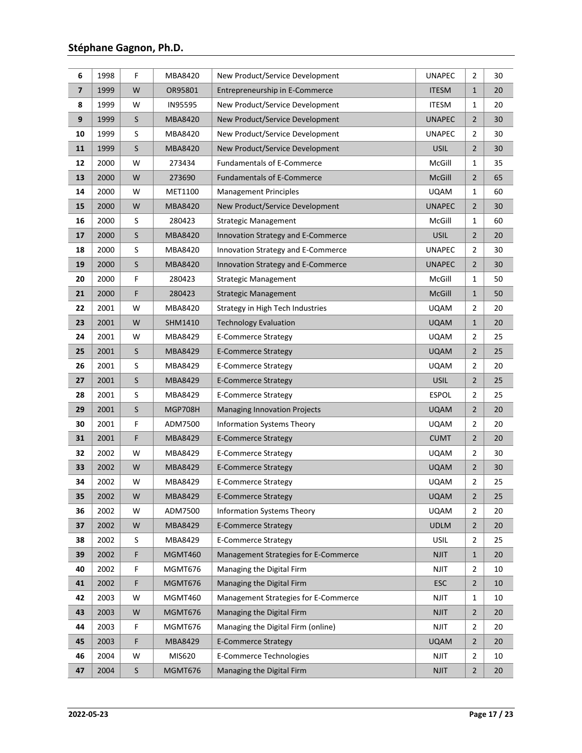| 6                       | 1998 | F       | MBA8420        | New Product/Service Development      | <b>UNAPEC</b> | $\overline{2}$ | 30 |
|-------------------------|------|---------|----------------|--------------------------------------|---------------|----------------|----|
| $\overline{\mathbf{z}}$ | 1999 | W       | OR95801        | Entrepreneurship in E-Commerce       | <b>ITESM</b>  | $\mathbf{1}$   | 20 |
| 8                       | 1999 | W       | <b>IN95595</b> | New Product/Service Development      | <b>ITESM</b>  | $\mathbf{1}$   | 20 |
| 9                       | 1999 | S       | MBA8420        | New Product/Service Development      | <b>UNAPEC</b> | $\overline{2}$ | 30 |
| 10                      | 1999 | S       | MBA8420        | New Product/Service Development      | <b>UNAPEC</b> | $\overline{2}$ | 30 |
| 11                      | 1999 | $\sf S$ | MBA8420        | New Product/Service Development      | <b>USIL</b>   | $\overline{2}$ | 30 |
| 12                      | 2000 | W       | 273434         | <b>Fundamentals of E-Commerce</b>    | McGill        | 1              | 35 |
| 13                      | 2000 | W       | 273690         | <b>Fundamentals of E-Commerce</b>    | <b>McGill</b> | $\overline{2}$ | 65 |
| 14                      | 2000 | W       | MET1100        | <b>Management Principles</b>         | <b>UQAM</b>   | 1              | 60 |
| 15                      | 2000 | W       | MBA8420        | New Product/Service Development      | <b>UNAPEC</b> | $\overline{2}$ | 30 |
| 16                      | 2000 | S       | 280423         | Strategic Management                 | McGill        | $\mathbf 1$    | 60 |
| 17                      | 2000 | $\sf S$ | MBA8420        | Innovation Strategy and E-Commerce   | <b>USIL</b>   | $\overline{2}$ | 20 |
| 18                      | 2000 | S       | MBA8420        | Innovation Strategy and E-Commerce   | <b>UNAPEC</b> | $\overline{2}$ | 30 |
| 19                      | 2000 | S       | MBA8420        | Innovation Strategy and E-Commerce   | <b>UNAPEC</b> | $\overline{2}$ | 30 |
| 20                      | 2000 | F       | 280423         | <b>Strategic Management</b>          | McGill        | $\mathbf{1}$   | 50 |
| 21                      | 2000 | F       | 280423         | <b>Strategic Management</b>          | <b>McGill</b> | $\mathbf{1}$   | 50 |
| 22                      | 2001 | W       | MBA8420        | Strategy in High Tech Industries     | <b>UQAM</b>   | $\overline{2}$ | 20 |
| 23                      | 2001 | W       | SHM1410        | <b>Technology Evaluation</b>         | <b>UQAM</b>   | $\mathbf{1}$   | 20 |
| 24                      | 2001 | W       | MBA8429        | <b>E-Commerce Strategy</b>           | <b>UQAM</b>   | $\overline{2}$ | 25 |
| 25                      | 2001 | $\sf S$ | <b>MBA8429</b> | <b>E-Commerce Strategy</b>           | <b>UQAM</b>   | $\overline{2}$ | 25 |
| 26                      | 2001 | S       | MBA8429        | <b>E-Commerce Strategy</b>           | <b>UQAM</b>   | $\overline{2}$ | 20 |
| 27                      | 2001 | $\sf S$ | MBA8429        | <b>E-Commerce Strategy</b>           | <b>USIL</b>   | $\overline{2}$ | 25 |
| 28                      | 2001 | S       | MBA8429        | <b>E-Commerce Strategy</b>           | <b>ESPOL</b>  | $\overline{2}$ | 25 |
| 29                      | 2001 | $\sf S$ | <b>MGP708H</b> | <b>Managing Innovation Projects</b>  | <b>UQAM</b>   | $\overline{2}$ | 20 |
| 30                      | 2001 | F       | ADM7500        | <b>Information Systems Theory</b>    | <b>UQAM</b>   | $\mathbf 2$    | 20 |
| 31                      | 2001 | F       | <b>MBA8429</b> | <b>E-Commerce Strategy</b>           | <b>CUMT</b>   | $\overline{2}$ | 20 |
| 32                      | 2002 | W       | MBA8429        | <b>E-Commerce Strategy</b>           | <b>UQAM</b>   | $\overline{2}$ | 30 |
| 33                      | 2002 | W       | MBA8429        | <b>E-Commerce Strategy</b>           | <b>UQAM</b>   | $\overline{2}$ | 30 |
| 34                      | 2002 | W       | MBA8429        | <b>E-Commerce Strategy</b>           | <b>UQAM</b>   | $\overline{2}$ | 25 |
| 35                      | 2002 | W       | MBA8429        | <b>E-Commerce Strategy</b>           | <b>UQAM</b>   | $\overline{2}$ | 25 |
| 36                      | 2002 | W       | ADM7500        | <b>Information Systems Theory</b>    | <b>UQAM</b>   | $\overline{2}$ | 20 |
| 37                      | 2002 | W       | MBA8429        | <b>E-Commerce Strategy</b>           | <b>UDLM</b>   | $\overline{2}$ | 20 |
| 38                      | 2002 | S       | MBA8429        | <b>E-Commerce Strategy</b>           | <b>USIL</b>   | $\overline{2}$ | 25 |
| 39                      | 2002 | F       | MGMT460        | Management Strategies for E-Commerce | <b>NJIT</b>   | $\mathbf{1}$   | 20 |
| 40                      | 2002 | F       | MGMT676        | Managing the Digital Firm            | <b>NJIT</b>   | $\overline{2}$ | 10 |
| 41                      | 2002 | F       | MGMT676        | Managing the Digital Firm            | <b>ESC</b>    | $\overline{2}$ | 10 |
| 42                      | 2003 | W       | MGMT460        | Management Strategies for E-Commerce | <b>NJIT</b>   | 1              | 10 |
| 43                      | 2003 | W       | MGMT676        | Managing the Digital Firm            | <b>NJIT</b>   | $\overline{2}$ | 20 |
| 44                      | 2003 | F       | MGMT676        | Managing the Digital Firm (online)   | <b>NJIT</b>   | $\overline{2}$ | 20 |
| 45                      | 2003 | F       | MBA8429        | <b>E-Commerce Strategy</b>           | <b>UQAM</b>   | $\overline{2}$ | 20 |
| 46                      | 2004 | W       | MIS620         | E-Commerce Technologies              | <b>NJIT</b>   | $\overline{2}$ | 10 |
| 47                      | 2004 | S       | MGMT676        | Managing the Digital Firm            | <b>NJIT</b>   | $\overline{2}$ | 20 |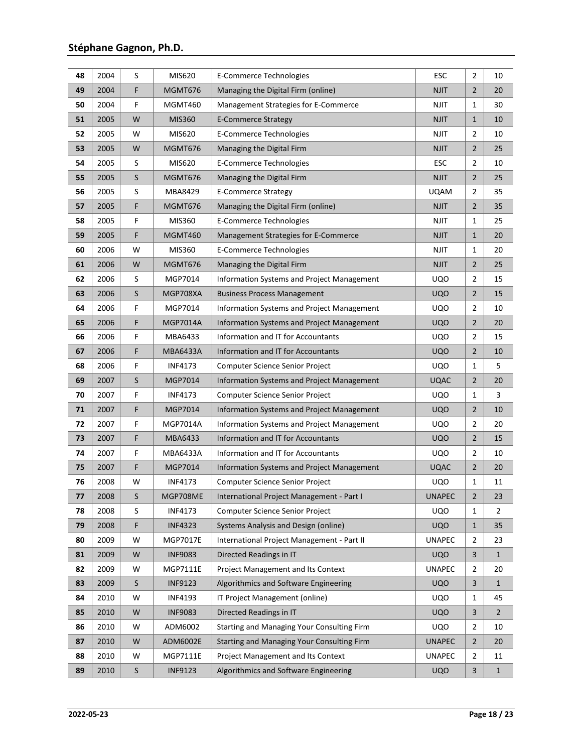| 48 | 2004 | S | MIS620          | E-Commerce Technologies                    | <b>ESC</b>    | $\overline{2}$ | 10             |
|----|------|---|-----------------|--------------------------------------------|---------------|----------------|----------------|
| 49 | 2004 | F | <b>MGMT676</b>  | Managing the Digital Firm (online)         | <b>NJIT</b>   | $\overline{2}$ | 20             |
| 50 | 2004 | F | MGMT460         | Management Strategies for E-Commerce       | <b>NJIT</b>   | $\mathbf{1}$   | 30             |
| 51 | 2005 | W | MIS360          | <b>E-Commerce Strategy</b>                 | <b>NJIT</b>   | $\mathbf{1}$   | 10             |
| 52 | 2005 | W | MIS620          | E-Commerce Technologies                    | <b>NJIT</b>   | $\overline{2}$ | 10             |
| 53 | 2005 | W | <b>MGMT676</b>  | Managing the Digital Firm                  | <b>NJIT</b>   | $\overline{2}$ | 25             |
| 54 | 2005 | S | MIS620          | <b>E-Commerce Technologies</b>             | <b>ESC</b>    | $\overline{2}$ | 10             |
| 55 | 2005 | S | <b>MGMT676</b>  | Managing the Digital Firm                  | <b>NJIT</b>   | $\overline{2}$ | 25             |
| 56 | 2005 | S | MBA8429         | <b>E-Commerce Strategy</b>                 | <b>UQAM</b>   | 2              | 35             |
| 57 | 2005 | F | <b>MGMT676</b>  | Managing the Digital Firm (online)         | <b>NJIT</b>   | $\overline{2}$ | 35             |
| 58 | 2005 | F | MIS360          | <b>E-Commerce Technologies</b>             | <b>NJIT</b>   | 1              | 25             |
| 59 | 2005 | F | MGMT460         | Management Strategies for E-Commerce       | <b>NJIT</b>   | $\mathbf{1}$   | 20             |
| 60 | 2006 | W | MIS360          | E-Commerce Technologies                    | <b>NJIT</b>   | 1              | 20             |
| 61 | 2006 | W | MGMT676         | Managing the Digital Firm                  | <b>NJIT</b>   | $\overline{2}$ | 25             |
| 62 | 2006 | S | MGP7014         | Information Systems and Project Management | <b>UQO</b>    | $\overline{2}$ | 15             |
| 63 | 2006 | S | MGP708XA        | <b>Business Process Management</b>         | <b>UQO</b>    | $\overline{2}$ | 15             |
| 64 | 2006 | F | MGP7014         | Information Systems and Project Management | <b>UQO</b>    | $\overline{2}$ | 10             |
| 65 | 2006 | F | MGP7014A        | Information Systems and Project Management | <b>UQO</b>    | $\overline{2}$ | 20             |
| 66 | 2006 | F | MBA6433         | Information and IT for Accountants         | <b>UQO</b>    | $\overline{2}$ | 15             |
| 67 | 2006 | F | <b>MBA6433A</b> | Information and IT for Accountants         | <b>UQO</b>    | $\overline{2}$ | 10             |
| 68 | 2006 | F | <b>INF4173</b>  | Computer Science Senior Project            | <b>UQO</b>    | 1              | 5              |
| 69 | 2007 | S | MGP7014         | Information Systems and Project Management | <b>UQAC</b>   | $\overline{2}$ | 20             |
| 70 | 2007 | F | <b>INF4173</b>  | Computer Science Senior Project            | <b>UQO</b>    | $\mathbf{1}$   | 3              |
| 71 | 2007 | F | MGP7014         | Information Systems and Project Management | <b>UQO</b>    | $\overline{2}$ | $10\,$         |
| 72 | 2007 | F | MGP7014A        | Information Systems and Project Management | <b>UQO</b>    | $\overline{2}$ | 20             |
| 73 | 2007 | F | MBA6433         | Information and IT for Accountants         | <b>UQO</b>    | $\overline{2}$ | 15             |
| 74 | 2007 | F | <b>MBA6433A</b> | Information and IT for Accountants         | <b>UQO</b>    | $\overline{2}$ | 10             |
| 75 | 2007 | F | MGP7014         | Information Systems and Project Management | <b>UQAC</b>   | $\overline{2}$ | 20             |
| 76 | 2008 | W | <b>INF4173</b>  | Computer Science Senior Project            | <b>UQO</b>    | 1              | 11             |
| 77 | 2008 | S | MGP708ME        | International Project Management - Part I  | <b>UNAPEC</b> | $\overline{2}$ | 23             |
| 78 | 2008 | S | <b>INF4173</b>  | <b>Computer Science Senior Project</b>     | <b>UQO</b>    | 1              | 2              |
| 79 | 2008 | F | <b>INF4323</b>  | Systems Analysis and Design (online)       | <b>UQO</b>    | $\mathbf{1}$   | 35             |
| 80 | 2009 | W | <b>MGP7017E</b> | International Project Management - Part II | <b>UNAPEC</b> | $\overline{2}$ | 23             |
| 81 | 2009 | W | <b>INF9083</b>  | Directed Readings in IT                    | <b>UQO</b>    | $\mathsf{3}$   | $\mathbf{1}$   |
| 82 | 2009 | W | MGP7111E        | <b>Project Management and Its Context</b>  | <b>UNAPEC</b> | $\overline{2}$ | 20             |
| 83 | 2009 | S | <b>INF9123</b>  | Algorithmics and Software Engineering      | <b>UQO</b>    | 3              | $1\,$          |
| 84 | 2010 | W | <b>INF4193</b>  | IT Project Management (online)             | <b>UQO</b>    | $\mathbf{1}$   | 45             |
| 85 | 2010 | W | <b>INF9083</b>  | Directed Readings in IT                    | <b>UQO</b>    | 3              | $\overline{2}$ |
| 86 | 2010 | W | ADM6002         | Starting and Managing Your Consulting Firm | <b>UQO</b>    | $\overline{2}$ | 10             |
| 87 | 2010 | W | ADM6002E        | Starting and Managing Your Consulting Firm | <b>UNAPEC</b> | $\overline{2}$ | 20             |
| 88 | 2010 | W | MGP7111E        | Project Management and Its Context         | <b>UNAPEC</b> | $\overline{2}$ | 11             |
| 89 | 2010 | S | <b>INF9123</b>  | Algorithmics and Software Engineering      | <b>UQO</b>    | 3              | $\mathbf{1}$   |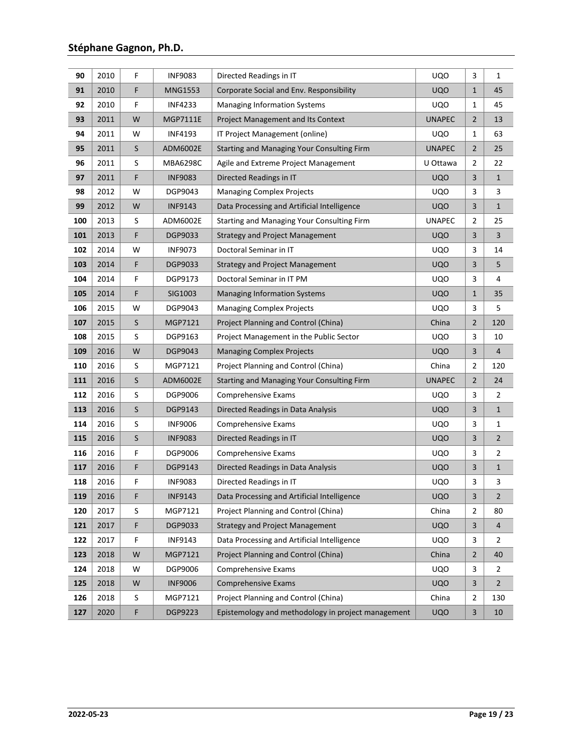| 90  | 2010 | F       | <b>INF9083</b>  | Directed Readings in IT                            | <b>UQO</b>    | 3                       | $\mathbf{1}$   |
|-----|------|---------|-----------------|----------------------------------------------------|---------------|-------------------------|----------------|
| 91  | 2010 | F       | <b>MNG1553</b>  | Corporate Social and Env. Responsibility           | <b>UQO</b>    | $\mathbf{1}$            | 45             |
| 92  | 2010 | F       | <b>INF4233</b>  | <b>Managing Information Systems</b>                | <b>UQO</b>    | 1                       | 45             |
| 93  | 2011 | W       | MGP7111E        | <b>Project Management and Its Context</b>          | <b>UNAPEC</b> | $\overline{2}$          | 13             |
| 94  | 2011 | W       | <b>INF4193</b>  | IT Project Management (online)                     | <b>UQO</b>    | 1                       | 63             |
| 95  | 2011 | $\sf S$ | ADM6002E        | Starting and Managing Your Consulting Firm         | <b>UNAPEC</b> | $\overline{2}$          | 25             |
| 96  | 2011 | S       | <b>MBA6298C</b> | Agile and Extreme Project Management               | U Ottawa      | $\overline{2}$          | 22             |
| 97  | 2011 | F       | <b>INF9083</b>  | Directed Readings in IT                            | <b>UQO</b>    | $\overline{\mathbf{3}}$ | $\mathbf 1$    |
| 98  | 2012 | W       | DGP9043         | <b>Managing Complex Projects</b>                   | <b>UQO</b>    | 3                       | 3              |
| 99  | 2012 | W       | <b>INF9143</b>  | Data Processing and Artificial Intelligence        | <b>UQO</b>    | 3                       | $\mathbf{1}$   |
| 100 | 2013 | S       | ADM6002E        | Starting and Managing Your Consulting Firm         | <b>UNAPEC</b> | $\overline{2}$          | 25             |
| 101 | 2013 | F       | <b>DGP9033</b>  | <b>Strategy and Project Management</b>             | <b>UQO</b>    | 3                       | 3              |
| 102 | 2014 | W       | <b>INF9073</b>  | Doctoral Seminar in IT                             | <b>UQO</b>    | 3                       | 14             |
| 103 | 2014 | F       | <b>DGP9033</b>  | <b>Strategy and Project Management</b>             | <b>UQO</b>    | 3                       | 5              |
| 104 | 2014 | F       | DGP9173         | Doctoral Seminar in IT PM                          | <b>UQO</b>    | 3                       | 4              |
| 105 | 2014 | F       | SIG1003         | <b>Managing Information Systems</b>                | <b>UQO</b>    | $\mathbf{1}$            | 35             |
| 106 | 2015 | W       | DGP9043         | <b>Managing Complex Projects</b>                   | <b>UQO</b>    | 3                       | 5              |
| 107 | 2015 | S       | MGP7121         | Project Planning and Control (China)               | China         | $\overline{2}$          | 120            |
| 108 | 2015 | S       | DGP9163         | Project Management in the Public Sector            | <b>UQO</b>    | 3                       | 10             |
| 109 | 2016 | W       | DGP9043         | <b>Managing Complex Projects</b>                   | <b>UQO</b>    | $\mathsf{3}$            | 4              |
| 110 | 2016 | S       | MGP7121         | Project Planning and Control (China)               | China         | $\overline{2}$          | 120            |
| 111 | 2016 | S       | ADM6002E        | Starting and Managing Your Consulting Firm         | <b>UNAPEC</b> | $\overline{2}$          | 24             |
| 112 | 2016 | S       | DGP9006         | Comprehensive Exams                                | <b>UQO</b>    | 3                       | $\overline{2}$ |
| 113 | 2016 | $\sf S$ | DGP9143         | Directed Readings in Data Analysis                 | <b>UQO</b>    | 3                       | $\mathbf{1}$   |
| 114 | 2016 | S       | <b>INF9006</b>  | Comprehensive Exams                                | <b>UQO</b>    | 3                       | 1              |
| 115 | 2016 | $\sf S$ | <b>INF9083</b>  | Directed Readings in IT                            | <b>UQO</b>    | 3                       | $\overline{2}$ |
| 116 | 2016 | F       | DGP9006         | Comprehensive Exams                                | <b>UQO</b>    | 3                       | 2              |
| 117 | 2016 | F       | DGP9143         | Directed Readings in Data Analysis                 | <b>UQO</b>    | $\mathsf{3}$            | $\mathbf{1}$   |
| 118 | 2016 | F       | <b>INF9083</b>  | Directed Readings in IT                            | <b>UQO</b>    | 3                       | 3              |
| 119 | 2016 | F       | <b>INF9143</b>  | Data Processing and Artificial Intelligence        | <b>UQO</b>    | $\mathsf{3}$            | $\overline{2}$ |
| 120 | 2017 | S       | MGP7121         | Project Planning and Control (China)               | China         | 2                       | 80             |
| 121 | 2017 | F       | DGP9033         | <b>Strategy and Project Management</b>             | <b>UQO</b>    | $\mathsf{3}$            | 4              |
| 122 | 2017 | F       | <b>INF9143</b>  | Data Processing and Artificial Intelligence        | <b>UQO</b>    | 3                       | 2              |
| 123 | 2018 | W       | MGP7121         | Project Planning and Control (China)               | China         | $\overline{2}$          | 40             |
| 124 | 2018 | W       | DGP9006         | Comprehensive Exams                                | <b>UQO</b>    | 3                       | $\overline{2}$ |
| 125 | 2018 | W       | <b>INF9006</b>  | Comprehensive Exams                                | <b>UQO</b>    | 3                       | $\overline{2}$ |
| 126 | 2018 | S       | MGP7121         | Project Planning and Control (China)               | China         | $\overline{2}$          | 130            |
| 127 | 2020 | F       | DGP9223         | Epistemology and methodology in project management | <b>UQO</b>    | $\mathsf{3}$            | 10             |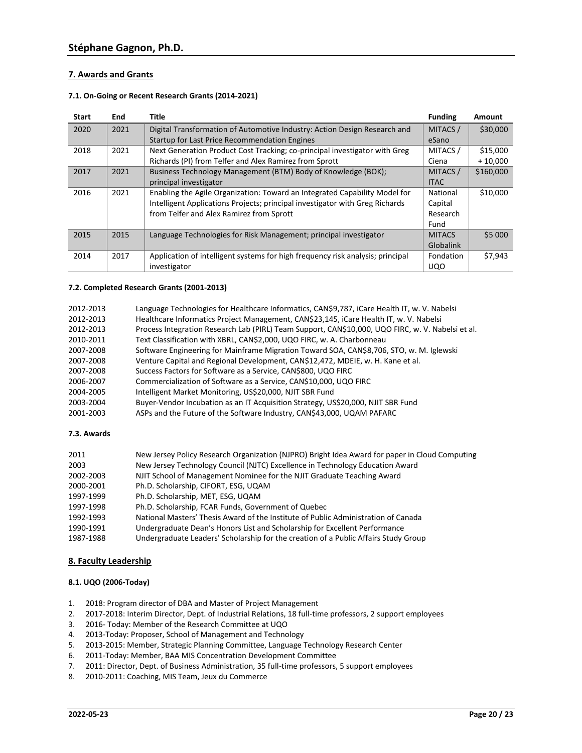## **7. Awards and Grants**

### **7.1. On-Going or Recent Research Grants (2014-2021)**

| <b>Start</b> | End  | Title                                                                          | <b>Funding</b> | Amount    |
|--------------|------|--------------------------------------------------------------------------------|----------------|-----------|
| 2020         | 2021 | Digital Transformation of Automotive Industry: Action Design Research and      | MITACS /       | \$30,000  |
|              |      | Startup for Last Price Recommendation Engines                                  | eSano          |           |
| 2018         | 2021 | Next Generation Product Cost Tracking; co-principal investigator with Greg     | MITACS /       | \$15,000  |
|              |      | Richards (PI) from Telfer and Alex Ramirez from Sprott                         | Ciena          | $+10,000$ |
| 2017         | 2021 | Business Technology Management (BTM) Body of Knowledge (BOK);                  | MITACS /       | \$160,000 |
|              |      | principal investigator                                                         | <b>ITAC</b>    |           |
| 2016         | 2021 | Enabling the Agile Organization: Toward an Integrated Capability Model for     | National       | \$10,000  |
|              |      | Intelligent Applications Projects; principal investigator with Greg Richards   | Capital        |           |
|              |      | from Telfer and Alex Ramirez from Sprott                                       | Research       |           |
|              |      |                                                                                | Fund           |           |
| 2015         | 2015 | Language Technologies for Risk Management; principal investigator              | <b>MITACS</b>  | \$5 000   |
|              |      |                                                                                | Globalink      |           |
| 2014         | 2017 | Application of intelligent systems for high frequency risk analysis; principal | Fondation      | \$7,943   |
|              |      | investigator                                                                   | <b>UQO</b>     |           |

## **7.2. Completed Research Grants (2001-2013)**

| 2012-2013 | Language Technologies for Healthcare Informatics, CAN\$9,787, iCare Health IT, w. V. Nabelsi      |
|-----------|---------------------------------------------------------------------------------------------------|
| 2012-2013 | Healthcare Informatics Project Management, CAN\$23,145, iCare Health IT, w. V. Nabelsi            |
| 2012-2013 | Process Integration Research Lab (PIRL) Team Support, CAN\$10,000, UQO FIRC, w. V. Nabelsi et al. |
| 2010-2011 | Text Classification with XBRL, CAN\$2,000, UQO FIRC, w. A. Charbonneau                            |
| 2007-2008 | Software Engineering for Mainframe Migration Toward SOA, CAN\$8,706, STO, w. M. Iglewski          |
| 2007-2008 | Venture Capital and Regional Development, CAN\$12,472, MDEIE, w. H. Kane et al.                   |
| 2007-2008 | Success Factors for Software as a Service, CAN\$800, UQO FIRC                                     |
| 2006-2007 | Commercialization of Software as a Service, CAN\$10,000, UQO FIRC                                 |
| 2004-2005 | Intelligent Market Monitoring, US\$20,000, NJIT SBR Fund                                          |
| 2003-2004 | Buyer-Vendor Incubation as an IT Acquisition Strategy, US\$20,000, NJIT SBR Fund                  |
| 2001-2003 | ASPs and the Future of the Software Industry, CAN\$43,000, UQAM PAFARC                            |
|           |                                                                                                   |

### **7.3. Awards**

| 2011      | New Jersey Policy Research Organization (NJPRO) Bright Idea Award for paper in Cloud Computing |
|-----------|------------------------------------------------------------------------------------------------|
| 2003      | New Jersey Technology Council (NJTC) Excellence in Technology Education Award                  |
| 2002-2003 | NJIT School of Management Nominee for the NJIT Graduate Teaching Award                         |
| 2000-2001 | Ph.D. Scholarship, CIFORT, ESG, UQAM                                                           |
| 1997-1999 | Ph.D. Scholarship, MET, ESG, UQAM                                                              |
| 1997-1998 | Ph.D. Scholarship, FCAR Funds, Government of Quebec                                            |
| 1992-1993 | National Masters' Thesis Award of the Institute of Public Administration of Canada             |
| 1990-1991 | Undergraduate Dean's Honors List and Scholarship for Excellent Performance                     |
| 1987-1988 | Undergraduate Leaders' Scholarship for the creation of a Public Affairs Study Group            |

## **8. Faculty Leadership**

### **8.1. UQO (2006-Today)**

- 1. 2018: Program director of DBA and Master of Project Management
- 2. 2017-2018: Interim Director, Dept. of Industrial Relations, 18 full-time professors, 2 support employees
- 3. 2016- Today: Member of the Research Committee at UQO
- 4. 2013-Today: Proposer, School of Management and Technology
- 5. 2013-2015: Member, Strategic Planning Committee, Language Technology Research Center
- 6. 2011-Today: Member, BAA MIS Concentration Development Committee
- 7. 2011: Director, Dept. of Business Administration, 35 full-time professors, 5 support employees
- 8. 2010-2011: Coaching, MIS Team, Jeux du Commerce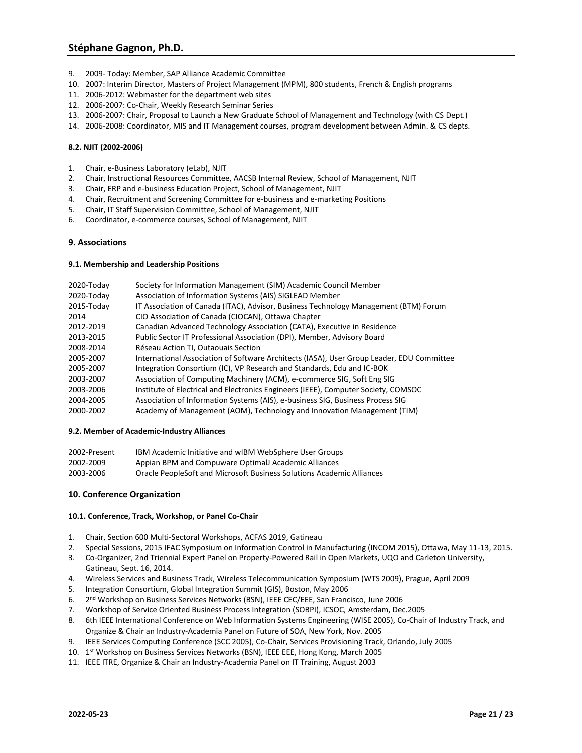- 9. 2009- Today: Member, SAP Alliance Academic Committee
- 10. 2007: Interim Director, Masters of Project Management (MPM), 800 students, French & English programs
- 11. 2006-2012: Webmaster for the department web sites
- 12. 2006-2007: Co-Chair, Weekly Research Seminar Series
- 13. 2006-2007: Chair, Proposal to Launch a New Graduate School of Management and Technology (with CS Dept.)
- 14. 2006-2008: Coordinator, MIS and IT Management courses, program development between Admin. & CS depts.

### **8.2. NJIT (2002-2006)**

- 1. Chair, e-Business Laboratory (eLab), NJIT
- 2. Chair, Instructional Resources Committee, AACSB Internal Review, School of Management, NJIT
- 3. Chair, ERP and e-business Education Project, School of Management, NJIT
- 4. Chair, Recruitment and Screening Committee for e-business and e-marketing Positions
- 5. Chair, IT Staff Supervision Committee, School of Management, NJIT
- 6. Coordinator, e-commerce courses, School of Management, NJIT

### **9. Associations**

### **9.1. Membership and Leadership Positions**

| 2020-Today | Society for Information Management (SIM) Academic Council Member                          |
|------------|-------------------------------------------------------------------------------------------|
| 2020-Today | Association of Information Systems (AIS) SIGLEAD Member                                   |
| 2015-Today | IT Association of Canada (ITAC), Advisor, Business Technology Management (BTM) Forum      |
| 2014       | CIO Association of Canada (CIOCAN), Ottawa Chapter                                        |
| 2012-2019  | Canadian Advanced Technology Association (CATA), Executive in Residence                   |
| 2013-2015  | Public Sector IT Professional Association (DPI), Member, Advisory Board                   |
| 2008-2014  | Réseau Action TI, Outaouais Section                                                       |
| 2005-2007  | International Association of Software Architects (IASA), User Group Leader, EDU Committee |
| 2005-2007  | Integration Consortium (IC), VP Research and Standards, Edu and IC-BOK                    |
| 2003-2007  | Association of Computing Machinery (ACM), e-commerce SIG, Soft Eng SIG                    |
| 2003-2006  | Institute of Electrical and Electronics Engineers (IEEE), Computer Society, COMSOC        |
| 2004-2005  | Association of Information Systems (AIS), e-business SIG, Business Process SIG            |
| 2000-2002  | Academy of Management (AOM), Technology and Innovation Management (TIM)                   |

### **9.2. Member of Academic-Industry Alliances**

| 2002-Present | IBM Academic Initiative and wIBM WebSphere User Groups                |
|--------------|-----------------------------------------------------------------------|
| 2002-2009    | Appian BPM and Compuware Optimal Academic Alliances                   |
| 2003-2006    | Oracle PeopleSoft and Microsoft Business Solutions Academic Alliances |

### **10. Conference Organization**

### **10.1. Conference, Track, Workshop, or Panel Co-Chair**

- 1. Chair, Section 600 Multi-Sectoral Workshops, ACFAS 2019, Gatineau
- 2. Special Sessions, 2015 IFAC Symposium on Information Control in Manufacturing (INCOM 2015), Ottawa, May 11-13, 2015.
- 3. Co-Organizer, 2nd Triennial Expert Panel on Property-Powered Rail in Open Markets, UQO and Carleton University, Gatineau, Sept. 16, 2014.
- 4. Wireless Services and Business Track, Wireless Telecommunication Symposium (WTS 2009), Prague, April 2009
- 5. Integration Consortium, Global Integration Summit (GIS), Boston, May 2006
- 6. 2 nd Workshop on Business Services Networks (BSN), IEEE CEC/EEE, San Francisco, June 2006
- 7. Workshop of Service Oriented Business Process Integration (SOBPI), ICSOC, Amsterdam, Dec.2005
- 8. 6th IEEE International Conference on Web Information Systems Engineering (WISE 2005), Co-Chair of Industry Track, and Organize & Chair an Industry-Academia Panel on Future of SOA, New York, Nov. 2005
- 9. IEEE Services Computing Conference (SCC 2005), Co-Chair, Services Provisioning Track, Orlando, July 2005
- 10. 1<sup>st</sup> Workshop on Business Services Networks (BSN), IEEE EEE, Hong Kong, March 2005
- 11. IEEE ITRE, Organize & Chair an Industry-Academia Panel on IT Training, August 2003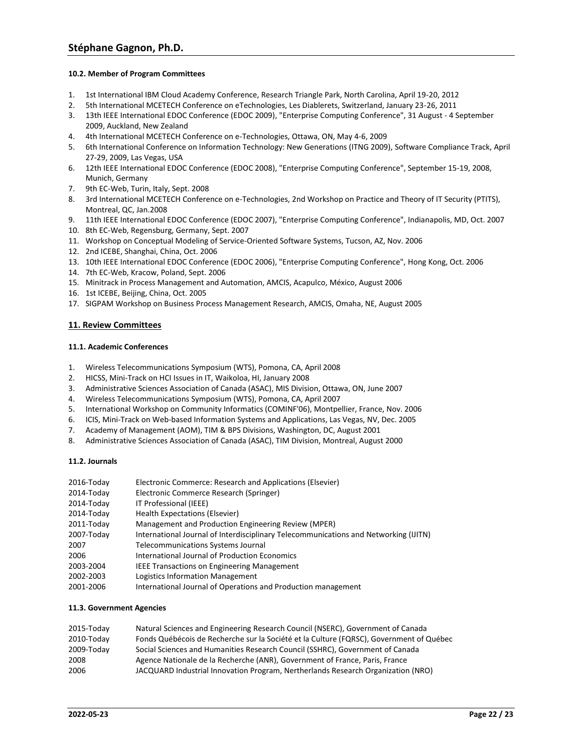### **10.2. Member of Program Committees**

- 1. 1st International IBM Cloud Academy Conference, Research Triangle Park, North Carolina, April 19-20, 2012
- 2. 5th International MCETECH Conference on eTechnologies, Les Diablerets, Switzerland, January 23-26, 2011
- 3. 13th IEEE International EDOC Conference (EDOC 2009), "Enterprise Computing Conference", 31 August 4 September 2009, Auckland, New Zealand
- 4. 4th International MCETECH Conference on e-Technologies, Ottawa, ON, May 4-6, 2009
- 5. 6th International Conference on Information Technology: New Generations (ITNG 2009), Software Compliance Track, April 27-29, 2009, Las Vegas, USA
- 6. 12th IEEE International EDOC Conference (EDOC 2008), "Enterprise Computing Conference", September 15-19, 2008, Munich, Germany
- 7. 9th EC-Web, Turin, Italy, Sept. 2008
- 8. 3rd International MCETECH Conference on e-Technologies, 2nd Workshop on Practice and Theory of IT Security (PTITS), Montreal, QC, Jan.2008
- 9. 11th IEEE International EDOC Conference (EDOC 2007), "Enterprise Computing Conference", Indianapolis, MD, Oct. 2007 10. 8th EC-Web, Regensburg, Germany, Sept. 2007
- 11. Workshop on Conceptual Modeling of Service-Oriented Software Systems, Tucson, AZ, Nov. 2006
- 12. 2nd ICEBE, Shanghai, China, Oct. 2006
- 13. 10th IEEE International EDOC Conference (EDOC 2006), "Enterprise Computing Conference", Hong Kong, Oct. 2006
- 14. 7th EC-Web, Kracow, Poland, Sept. 2006
- 15. Minitrack in Process Management and Automation, AMCIS, Acapulco, México, August 2006
- 16. 1st ICEBE, Beijing, China, Oct. 2005
- 17. SIGPAM Workshop on Business Process Management Research, AMCIS, Omaha, NE, August 2005

### **11. Review Committees**

### **11.1. Academic Conferences**

- 1. Wireless Telecommunications Symposium (WTS), Pomona, CA, April 2008
- 2. HICSS, Mini-Track on HCI Issues in IT, Waikoloa, HI, January 2008
- 3. Administrative Sciences Association of Canada (ASAC), MIS Division, Ottawa, ON, June 2007
- 4. Wireless Telecommunications Symposium (WTS), Pomona, CA, April 2007
- 5. International Workshop on Community Informatics (COMINF'06), Montpellier, France, Nov. 2006
- 6. ICIS, Mini-Track on Web-based Information Systems and Applications, Las Vegas, NV, Dec. 2005
- 7. Academy of Management (AOM), TIM & BPS Divisions, Washington, DC, August 2001
- 8. Administrative Sciences Association of Canada (ASAC), TIM Division, Montreal, August 2000

### **11.2. Journals**

| 2016-Today | Electronic Commerce: Research and Applications (Elsevier)                            |
|------------|--------------------------------------------------------------------------------------|
| 2014-Today | Electronic Commerce Research (Springer)                                              |
| 2014-Today | IT Professional (IEEE)                                                               |
| 2014-Today | Health Expectations (Elsevier)                                                       |
| 2011-Today | Management and Production Engineering Review (MPER)                                  |
| 2007-Today | International Journal of Interdisciplinary Telecommunications and Networking (IJITN) |
| 2007       | <b>Telecommunications Systems Journal</b>                                            |
| 2006       | International Journal of Production Economics                                        |
| 2003-2004  | <b>IEEE Transactions on Engineering Management</b>                                   |
| 2002-2003  | Logistics Information Management                                                     |
| 2001-2006  | International Journal of Operations and Production management                        |
|            |                                                                                      |

### **11.3. Government Agencies**

| 2015-Today | Natural Sciences and Engineering Research Council (NSERC), Government of Canada         |
|------------|-----------------------------------------------------------------------------------------|
| 2010-Today | Fonds Québécois de Recherche sur la Société et la Culture (FQRSC), Government of Québec |
| 2009-Today | Social Sciences and Humanities Research Council (SSHRC), Government of Canada           |
| 2008       | Agence Nationale de la Recherche (ANR), Government of France, Paris, France             |
| 2006       | JACQUARD Industrial Innovation Program, Nertherlands Research Organization (NRO)        |